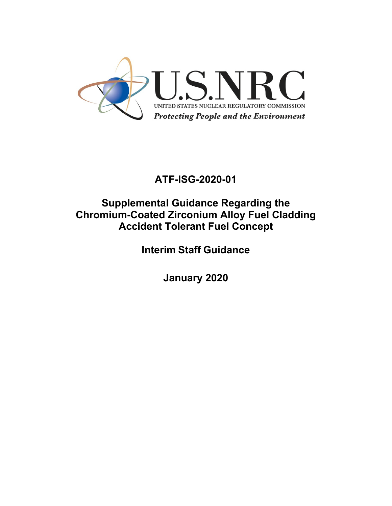

# **ATF-ISG-2020-01**

# **Supplemental Guidance Regarding the Chromium-Coated Zirconium Alloy Fuel Cladding Accident Tolerant Fuel Concept**

**Interim Staff Guidance**

**January 2020**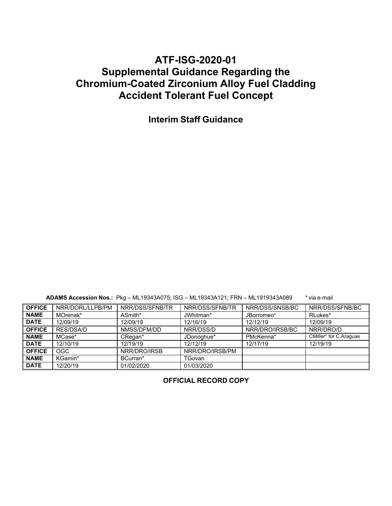# **ATF-ISG-2020-01 Supplemental Guidance Regarding the Chromium-Coated Zirconium Alloy Fuel Cladding Accident Tolerant Fuel Concept**

**Interim Staff Guidance**

**ADAMS Accession Nos.:** Pkg – ML19343A075; ISG – ML19343A121; FRN – ML1919343A089 \* via e-mail

| <b>OFFICE</b> | NRR/DORL/LLPB/PM | NRR/DSS/SFNB/TR | NRR/DSS/SFNB/TR | NRR/DSS/SNSB/BC | NRR/DSS/SFNB/BC        |
|---------------|------------------|-----------------|-----------------|-----------------|------------------------|
| <b>NAME</b>   | MOrenak*         | ASmith*         | JWhitman*       | JBorromeo*      | RLukes*                |
| <b>DATE</b>   | 12/09/19         | 12/09/19        | 12/16/19        | 12/12/19        | 12/09/19               |
| <b>OFFICE</b> | RES/DSA/D        | NMSS/DFM/DD     | NRR/DSS/D       | NRR/DRO/IRSB/BC | NRR/DRO/D              |
| <b>NAME</b>   | MCase*           | CRegan*         | JDonoghue*      | PMcKenna*       | CMiller* for C.Araguas |
| <b>DATE</b>   | 12/10/19         | 12/19/19        | 12/12/19        | 12/17/19        | 12/19/19               |
| <b>OFFICE</b> | <b>OGC</b>       | NRR/DRO/IRSB    | NRR/DRO/IRSB/PM |                 |                        |
| <b>NAME</b>   | KGamin*          | BCurran*        | TGovan          |                 |                        |
| <b>DATE</b>   | 12/20/19         | 01/02/2020      | 01/03/2020      |                 |                        |

**OFFICIAL RECORD COPY**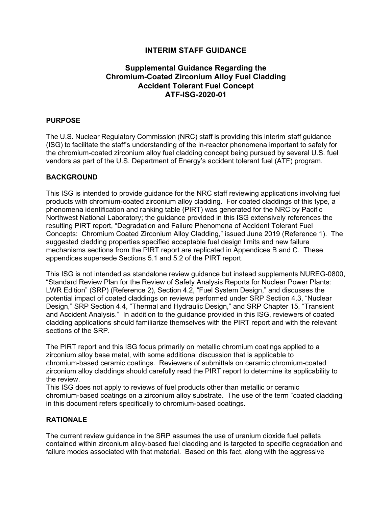# **INTERIM STAFF GUIDANCE**

# **Supplemental Guidance Regarding the Chromium-Coated Zirconium Alloy Fuel Cladding Accident Tolerant Fuel Concept ATF-ISG-2020-01**

# **PURPOSE**

The U.S. Nuclear Regulatory Commission (NRC) staff is providing this interim staff guidance (ISG) to facilitate the staff's understanding of the in-reactor phenomena important to safety for the chromium-coated zirconium alloy fuel cladding concept being pursued by several U.S. fuel vendors as part of the U.S. Department of Energy's accident tolerant fuel (ATF) program.

# **BACKGROUND**

This ISG is intended to provide guidance for the NRC staff reviewing applications involving fuel products with chromium-coated zirconium alloy cladding. For coated claddings of this type, a phenomena identification and ranking table (PIRT) was generated for the NRC by Pacific Northwest National Laboratory; the guidance provided in this ISG extensively references the resulting PIRT report, "Degradation and Failure Phenomena of Accident Tolerant Fuel Concepts: Chromium Coated Zirconium Alloy Cladding," issued June 2019 (Reference 1). The suggested cladding properties specified acceptable fuel design limits and new failure mechanisms sections from the PIRT report are replicated in Appendices B and C. These appendices supersede Sections 5.1 and 5.2 of the PIRT report.

This ISG is not intended as standalone review guidance but instead supplements NUREG-0800, "Standard Review Plan for the Review of Safety Analysis Reports for Nuclear Power Plants: LWR Edition" (SRP) (Reference 2), Section 4.2, "Fuel System Design," and discusses the potential impact of coated claddings on reviews performed under SRP Section 4.3, "Nuclear Design," SRP Section 4.4, "Thermal and Hydraulic Design," and SRP Chapter 15, "Transient and Accident Analysis." In addition to the guidance provided in this ISG, reviewers of coated cladding applications should familiarize themselves with the PIRT report and with the relevant sections of the SRP.

The PIRT report and this ISG focus primarily on metallic chromium coatings applied to a zirconium alloy base metal, with some additional discussion that is applicable to chromium-based ceramic coatings. Reviewers of submittals on ceramic chromium-coated zirconium alloy claddings should carefully read the PIRT report to determine its applicability to the review.

This ISG does not apply to reviews of fuel products other than metallic or ceramic chromium-based coatings on a zirconium alloy substrate. The use of the term "coated cladding" in this document refers specifically to chromium-based coatings.

# **RATIONALE**

The current review guidance in the SRP assumes the use of uranium dioxide fuel pellets contained within zirconium alloy-based fuel cladding and is targeted to specific degradation and failure modes associated with that material. Based on this fact, along with the aggressive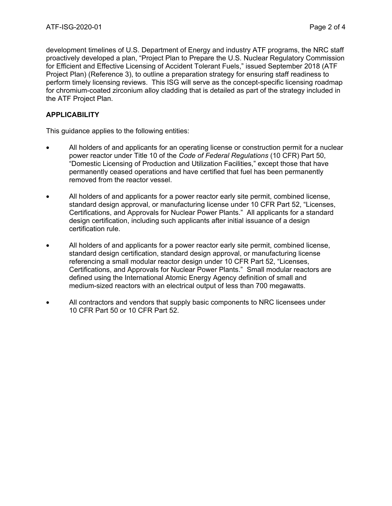development timelines of U.S. Department of Energy and industry ATF programs, the NRC staff proactively developed a plan, "Project Plan to Prepare the U.S. Nuclear Regulatory Commission for Efficient and Effective Licensing of Accident Tolerant Fuels," issued September 2018 (ATF Project Plan) (Reference 3), to outline a preparation strategy for ensuring staff readiness to perform timely licensing reviews. This ISG will serve as the concept-specific licensing roadmap for chromium-coated zirconium alloy cladding that is detailed as part of the strategy included in the ATF Project Plan.

# **APPLICABILITY**

This guidance applies to the following entities:

- All holders of and applicants for an operating license or construction permit for a nuclear power reactor under Title 10 of the *Code of Federal Regulations* (10 CFR) Part 50, "Domestic Licensing of Production and Utilization Facilities," except those that have permanently ceased operations and have certified that fuel has been permanently removed from the reactor vessel.
- All holders of and applicants for a power reactor early site permit, combined license, standard design approval, or manufacturing license under 10 CFR Part 52, "Licenses, Certifications, and Approvals for Nuclear Power Plants." All applicants for a standard design certification, including such applicants after initial issuance of a design certification rule.
- All holders of and applicants for a power reactor early site permit, combined license, standard design certification, standard design approval, or manufacturing license referencing a small modular reactor design under 10 CFR Part 52, "Licenses, Certifications, and Approvals for Nuclear Power Plants." Small modular reactors are defined using the International Atomic Energy Agency definition of small and medium-sized reactors with an electrical output of less than 700 megawatts.
- All contractors and vendors that supply basic components to NRC licensees under 10 CFR Part 50 or 10 CFR Part 52.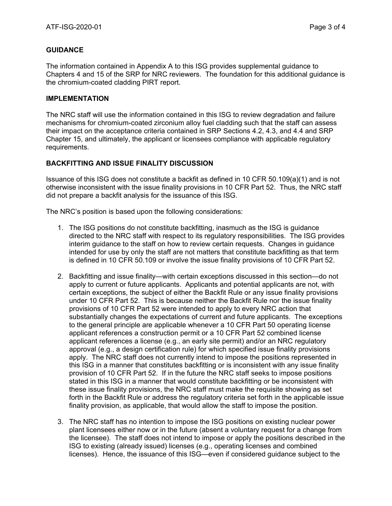# **GUIDANCE**

The information contained in Appendix A to this ISG provides supplemental guidance to Chapters 4 and 15 of the SRP for NRC reviewers. The foundation for this additional guidance is the chromium-coated cladding PIRT report.

#### **IMPLEMENTATION**

The NRC staff will use the information contained in this ISG to review degradation and failure mechanisms for chromium-coated zirconium alloy fuel cladding such that the staff can assess their impact on the acceptance criteria contained in SRP Sections 4.2, 4.3, and 4.4 and SRP Chapter 15, and ultimately, the applicant or licensees compliance with applicable regulatory requirements.

# **BACKFITTING AND ISSUE FINALITY DISCUSSION**

Issuance of this ISG does not constitute a backfit as defined in 10 CFR 50.109(a)(1) and is not otherwise inconsistent with the issue finality provisions in 10 CFR Part 52. Thus, the NRC staff did not prepare a backfit analysis for the issuance of this ISG.

The NRC's position is based upon the following considerations:

- 1. The ISG positions do not constitute backfitting, inasmuch as the ISG is guidance directed to the NRC staff with respect to its regulatory responsibilities. The ISG provides interim guidance to the staff on how to review certain requests. Changes in guidance intended for use by only the staff are not matters that constitute backfitting as that term is defined in 10 CFR 50.109 or involve the issue finality provisions of 10 CFR Part 52.
- 2. Backfitting and issue finality—with certain exceptions discussed in this section—do not apply to current or future applicants. Applicants and potential applicants are not, with certain exceptions, the subject of either the Backfit Rule or any issue finality provisions under 10 CFR Part 52. This is because neither the Backfit Rule nor the issue finality provisions of 10 CFR Part 52 were intended to apply to every NRC action that substantially changes the expectations of current and future applicants. The exceptions to the general principle are applicable whenever a 10 CFR Part 50 operating license applicant references a construction permit or a 10 CFR Part 52 combined license applicant references a license (e.g., an early site permit) and/or an NRC regulatory approval (e.g., a design certification rule) for which specified issue finality provisions apply. The NRC staff does not currently intend to impose the positions represented in this ISG in a manner that constitutes backfitting or is inconsistent with any issue finality provision of 10 CFR Part 52. If in the future the NRC staff seeks to impose positions stated in this ISG in a manner that would constitute backfitting or be inconsistent with these issue finality provisions, the NRC staff must make the requisite showing as set forth in the Backfit Rule or address the regulatory criteria set forth in the applicable issue finality provision, as applicable, that would allow the staff to impose the position.
- 3. The NRC staff has no intention to impose the ISG positions on existing nuclear power plant licensees either now or in the future (absent a voluntary request for a change from the licensee). The staff does not intend to impose or apply the positions described in the ISG to existing (already issued) licenses (e.g., operating licenses and combined licenses). Hence, the issuance of this ISG—even if considered guidance subject to the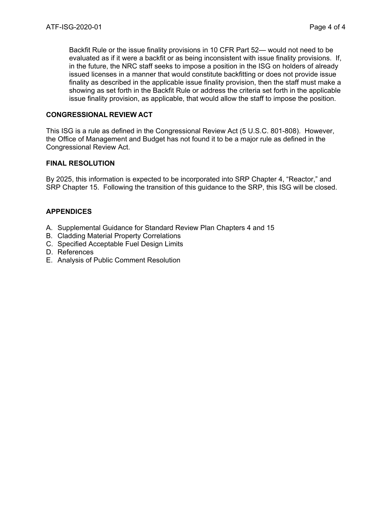Backfit Rule or the issue finality provisions in 10 CFR Part 52— would not need to be evaluated as if it were a backfit or as being inconsistent with issue finality provisions. If, in the future, the NRC staff seeks to impose a position in the ISG on holders of already issued licenses in a manner that would constitute backfitting or does not provide issue finality as described in the applicable issue finality provision, then the staff must make a showing as set forth in the Backfit Rule or address the criteria set forth in the applicable issue finality provision, as applicable, that would allow the staff to impose the position.

#### **CONGRESSIONAL REVIEW ACT**

This ISG is a rule as defined in the Congressional Review Act (5 U.S.C. 801-808). However, the Office of Management and Budget has not found it to be a major rule as defined in the Congressional Review Act.

#### **FINAL RESOLUTION**

By 2025, this information is expected to be incorporated into SRP Chapter 4, "Reactor," and SRP Chapter 15. Following the transition of this guidance to the SRP, this ISG will be closed.

# **APPENDICES**

- A. Supplemental Guidance for Standard Review Plan Chapters 4 and 15
- B. Cladding Material Property Correlations
- C. Specified Acceptable Fuel Design Limits
- D. References
- E. Analysis of Public Comment Resolution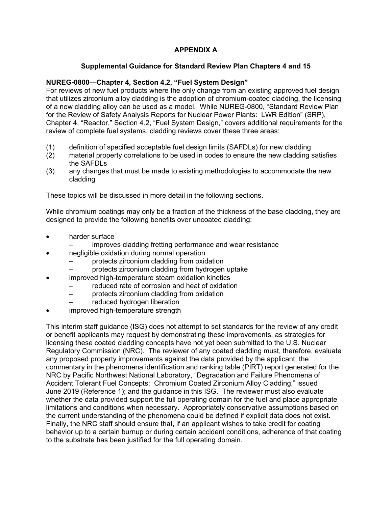# **APPENDIX A**

# **Supplemental Guidance for Standard Review Plan Chapters 4 and 15**

# **NUREG-0800—Chapter 4, Section 4.2, "Fuel System Design"**

For reviews of new fuel products where the only change from an existing approved fuel design that utilizes zirconium alloy cladding is the adoption of chromium-coated cladding, the licensing of a new cladding alloy can be used as a model. While NUREG-0800, "Standard Review Plan for the Review of Safety Analysis Reports for Nuclear Power Plants: LWR Edition" (SRP), Chapter 4, "Reactor," Section 4.2, "Fuel System Design," covers additional requirements for the review of complete fuel systems, cladding reviews cover these three areas:

- (1) definition of specified acceptable fuel design limits (SAFDLs) for new cladding
- (2) material property correlations to be used in codes to ensure the new cladding satisfies the SAFDLs
- (3) any changes that must be made to existing methodologies to accommodate the new cladding

These topics will be discussed in more detail in the following sections.

While chromium coatings may only be a fraction of the thickness of the base cladding, they are designed to provide the following benefits over uncoated cladding:

- harder surface
	- improves cladding fretting performance and wear resistance
- negligible oxidation during normal operation
	- protects zirconium cladding from oxidation
	- protects zirconium cladding from hydrogen uptake
- improved high-temperature steam oxidation kinetics
	- reduced rate of corrosion and heat of oxidation
	- protects zirconium cladding from oxidation
	- reduced hydrogen liberation
- improved high-temperature strength

This interim staff guidance (ISG) does not attempt to set standards for the review of any credit or benefit applicants may request by demonstrating these improvements, as strategies for licensing these coated cladding concepts have not yet been submitted to the U.S. Nuclear Regulatory Commission (NRC). The reviewer of any coated cladding must, therefore, evaluate any proposed property improvements against the data provided by the applicant; the commentary in the phenomena identification and ranking table (PIRT) report generated for the NRC by Pacific Northwest National Laboratory, "Degradation and Failure Phenomena of Accident Tolerant Fuel Concepts: Chromium Coated Zirconium Alloy Cladding," issued June 2019 (Reference 1); and the guidance in this ISG. The reviewer must also evaluate whether the data provided support the full operating domain for the fuel and place appropriate limitations and conditions when necessary. Appropriately conservative assumptions based on the current understanding of the phenomena could be defined if explicit data does not exist. Finally, the NRC staff should ensure that, if an applicant wishes to take credit for coating behavior up to a certain burnup or during certain accident conditions, adherence of that coating to the substrate has been justified for the full operating domain.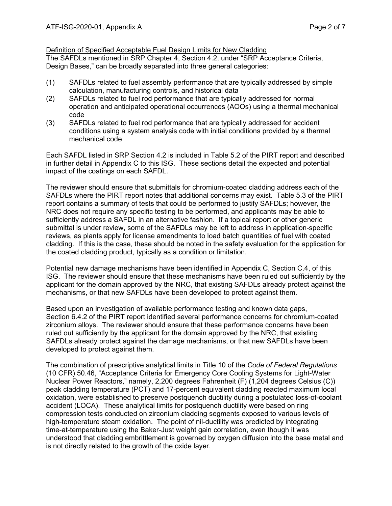## Definition of Specified Acceptable Fuel Design Limits for New Cladding

The SAFDLs mentioned in SRP Chapter 4, Section 4.2, under "SRP Acceptance Criteria, Design Bases," can be broadly separated into three general categories:

- (1) SAFDLs related to fuel assembly performance that are typically addressed by simple calculation, manufacturing controls, and historical data
- (2) SAFDLs related to fuel rod performance that are typically addressed for normal operation and anticipated operational occurrences (AOOs) using a thermal mechanical code
- (3) SAFDLs related to fuel rod performance that are typically addressed for accident conditions using a system analysis code with initial conditions provided by a thermal mechanical code

Each SAFDL listed in SRP Section 4.2 is included in Table 5.2 of the PIRT report and described in further detail in Appendix C to this ISG. These sections detail the expected and potential impact of the coatings on each SAFDL.

The reviewer should ensure that submittals for chromium-coated cladding address each of the SAFDLs where the PIRT report notes that additional concerns may exist. Table 5.3 of the PIRT report contains a summary of tests that could be performed to justify SAFDLs; however, the NRC does not require any specific testing to be performed, and applicants may be able to sufficiently address a SAFDL in an alternative fashion. If a topical report or other generic submittal is under review, some of the SAFDLs may be left to address in application-specific reviews, as plants apply for license amendments to load batch quantities of fuel with coated cladding. If this is the case, these should be noted in the safety evaluation for the application for the coated cladding product, typically as a condition or limitation.

Potential new damage mechanisms have been identified in Appendix C, Section C.4, of this ISG. The reviewer should ensure that these mechanisms have been ruled out sufficiently by the applicant for the domain approved by the NRC, that existing SAFDLs already protect against the mechanisms, or that new SAFDLs have been developed to protect against them.

Based upon an investigation of available performance testing and known data gaps, Section 6.4.2 of the PIRT report identified several performance concerns for chromium-coated zirconium alloys. The reviewer should ensure that these performance concerns have been ruled out sufficiently by the applicant for the domain approved by the NRC, that existing SAFDLs already protect against the damage mechanisms, or that new SAFDLs have been developed to protect against them.

The combination of prescriptive analytical limits in Title 10 of the *Code of Federal Regulations* (10 CFR) 50.46, "Acceptance Criteria for Emergency Core Cooling Systems for Light-Water Nuclear Power Reactors," namely, 2,200 degrees Fahrenheit (F) (1,204 degrees Celsius (C)) peak cladding temperature (PCT) and 17-percent equivalent cladding reacted maximum local oxidation, were established to preserve postquench ductility during a postulated loss-of-coolant accident (LOCA). These analytical limits for postquench ductility were based on ring compression tests conducted on zirconium cladding segments exposed to various levels of high-temperature steam oxidation. The point of nil-ductility was predicted by integrating time-at-temperature using the Baker-Just weight gain correlation, even though it was understood that cladding embrittlement is governed by oxygen diffusion into the base metal and is not directly related to the growth of the oxide layer.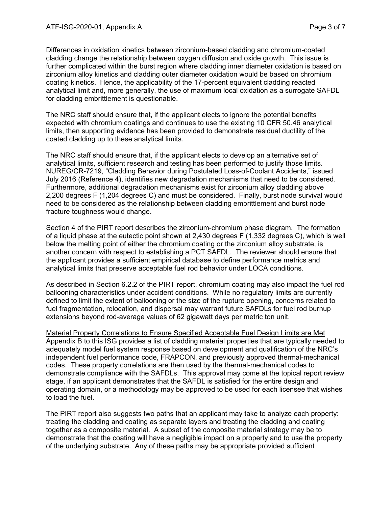Differences in oxidation kinetics between zirconium-based cladding and chromium-coated cladding change the relationship between oxygen diffusion and oxide growth. This issue is further complicated within the burst region where cladding inner diameter oxidation is based on zirconium alloy kinetics and cladding outer diameter oxidation would be based on chromium coating kinetics. Hence, the applicability of the 17-percent equivalent cladding reacted analytical limit and, more generally, the use of maximum local oxidation as a surrogate SAFDL for cladding embrittlement is questionable.

The NRC staff should ensure that, if the applicant elects to ignore the potential benefits expected with chromium coatings and continues to use the existing 10 CFR 50.46 analytical limits, then supporting evidence has been provided to demonstrate residual ductility of the coated cladding up to these analytical limits.

The NRC staff should ensure that, if the applicant elects to develop an alternative set of analytical limits, sufficient research and testing has been performed to justify those limits. NUREG/CR-7219, "Cladding Behavior during Postulated Loss-of-Coolant Accidents," issued July 2016 (Reference 4), identifies new degradation mechanisms that need to be considered. Furthermore, additional degradation mechanisms exist for zirconium alloy cladding above 2,200 degrees F (1,204 degrees C) and must be considered. Finally, burst node survival would need to be considered as the relationship between cladding embrittlement and burst node fracture toughness would change.

Section 4 of the PIRT report describes the zirconium-chromium phase diagram. The formation of a liquid phase at the eutectic point shown at 2,430 degrees F (1,332 degrees C), which is well below the melting point of either the chromium coating or the zirconium alloy substrate, is another concern with respect to establishing a PCT SAFDL. The reviewer should ensure that the applicant provides a sufficient empirical database to define performance metrics and analytical limits that preserve acceptable fuel rod behavior under LOCA conditions.

As described in Section 6.2.2 of the PIRT report, chromium coating may also impact the fuel rod ballooning characteristics under accident conditions. While no regulatory limits are currently defined to limit the extent of ballooning or the size of the rupture opening, concerns related to fuel fragmentation, relocation, and dispersal may warrant future SAFDLs for fuel rod burnup extensions beyond rod-average values of 62 gigawatt days per metric ton unit.

Material Property Correlations to Ensure Specified Acceptable Fuel Design Limits are Met Appendix B to this ISG provides a list of cladding material properties that are typically needed to adequately model fuel system response based on development and qualification of the NRC's independent fuel performance code, FRAPCON, and previously approved thermal-mechanical codes. These property correlations are then used by the thermal-mechanical codes to demonstrate compliance with the SAFDLs. This approval may come at the topical report review stage, if an applicant demonstrates that the SAFDL is satisfied for the entire design and operating domain, or a methodology may be approved to be used for each licensee that wishes to load the fuel.

The PIRT report also suggests two paths that an applicant may take to analyze each property: treating the cladding and coating as separate layers and treating the cladding and coating together as a composite material. A subset of the composite material strategy may be to demonstrate that the coating will have a negligible impact on a property and to use the property of the underlying substrate. Any of these paths may be appropriate provided sufficient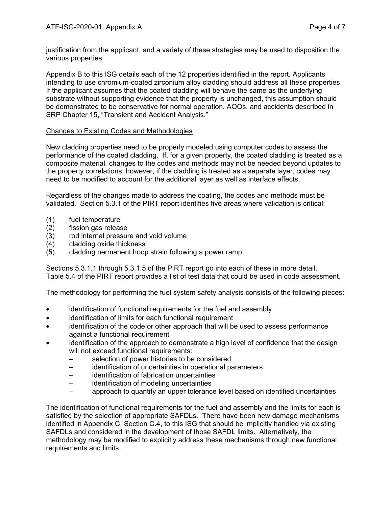justification from the applicant, and a variety of these strategies may be used to disposition the various properties.

Appendix B to this ISG details each of the 12 properties identified in the report. Applicants intending to use chromium-coated zirconium alloy cladding should address all these properties. If the applicant assumes that the coated cladding will behave the same as the underlying substrate without supporting evidence that the property is unchanged, this assumption should be demonstrated to be conservative for normal operation, AOOs, and accidents described in SRP Chapter 15, "Transient and Accident Analysis."

#### Changes to Existing Codes and Methodologies

New cladding properties need to be properly modeled using computer codes to assess the performance of the coated cladding. If, for a given property, the coated cladding is treated as a composite material, changes to the codes and methods may not be needed beyond updates to the property correlations; however, if the cladding is treated as a separate layer, codes may need to be modified to account for the additional layer as well as interface effects.

Regardless of the changes made to address the coating, the codes and methods must be validated. Section 5.3.1 of the PIRT report identifies five areas where validation is critical:

- (1) fuel temperature
- (2) fission gas release
- (3) rod internal pressure and void volume
- (4) cladding oxide thickness
- (5) cladding permanent hoop strain following a power ramp

Sections 5.3.1.1 through 5.3.1.5 of the PIRT report go into each of these in more detail. Table 5.4 of the PIRT report provides a list of test data that could be used in code assessment.

The methodology for performing the fuel system safety analysis consists of the following pieces:

- identification of functional requirements for the fuel and assembly
- identification of limits for each functional requirement
- identification of the code or other approach that will be used to assess performance against a functional requirement
- identification of the approach to demonstrate a high level of confidence that the design will not exceed functional requirements:
	- selection of power histories to be considered
	- identification of uncertainties in operational parameters
	- identification of fabrication uncertainties
	- identification of modeling uncertainties
	- approach to quantify an upper tolerance level based on identified uncertainties

The identification of functional requirements for the fuel and assembly and the limits for each is satisfied by the selection of appropriate SAFDLs. There have been new damage mechanisms identified in Appendix C, Section C.4, to this ISG that should be implicitly handled via existing SAFDLs and considered in the development of those SAFDL limits. Alternatively, the methodology may be modified to explicitly address these mechanisms through new functional requirements and limits.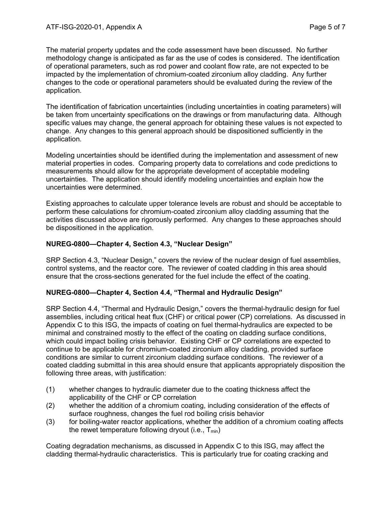The material property updates and the code assessment have been discussed. No further methodology change is anticipated as far as the use of codes is considered. The identification of operational parameters, such as rod power and coolant flow rate, are not expected to be impacted by the implementation of chromium-coated zirconium alloy cladding. Any further changes to the code or operational parameters should be evaluated during the review of the application.

The identification of fabrication uncertainties (including uncertainties in coating parameters) will be taken from uncertainty specifications on the drawings or from manufacturing data. Although specific values may change, the general approach for obtaining these values is not expected to change. Any changes to this general approach should be dispositioned sufficiently in the application.

Modeling uncertainties should be identified during the implementation and assessment of new material properties in codes. Comparing property data to correlations and code predictions to measurements should allow for the appropriate development of acceptable modeling uncertainties. The application should identify modeling uncertainties and explain how the uncertainties were determined.

Existing approaches to calculate upper tolerance levels are robust and should be acceptable to perform these calculations for chromium-coated zirconium alloy cladding assuming that the activities discussed above are rigorously performed. Any changes to these approaches should be dispositioned in the application.

# **NUREG-0800—Chapter 4, Section 4.3, "Nuclear Design"**

SRP Section 4.3, "Nuclear Design," covers the review of the nuclear design of fuel assemblies, control systems, and the reactor core. The reviewer of coated cladding in this area should ensure that the cross-sections generated for the fuel include the effect of the coating.

# **NUREG-0800—Chapter 4, Section 4.4, "Thermal and Hydraulic Design"**

SRP Section 4.4, "Thermal and Hydraulic Design," covers the thermal-hydraulic design for fuel assemblies, including critical heat flux (CHF) or critical power (CP) correlations. As discussed in Appendix C to this ISG, the impacts of coating on fuel thermal-hydraulics are expected to be minimal and constrained mostly to the effect of the coating on cladding surface conditions, which could impact boiling crisis behavior. Existing CHF or CP correlations are expected to continue to be applicable for chromium-coated zirconium alloy cladding, provided surface conditions are similar to current zirconium cladding surface conditions. The reviewer of a coated cladding submittal in this area should ensure that applicants appropriately disposition the following three areas, with justification:

- (1) whether changes to hydraulic diameter due to the coating thickness affect the applicability of the CHF or CP correlation
- (2) whether the addition of a chromium coating, including consideration of the effects of surface roughness, changes the fuel rod boiling crisis behavior
- (3) for boiling-water reactor applications, whether the addition of a chromium coating affects the rewet temperature following dryout (i.e.,  $T_{min}$ )

Coating degradation mechanisms, as discussed in Appendix C to this ISG, may affect the cladding thermal-hydraulic characteristics. This is particularly true for coating cracking and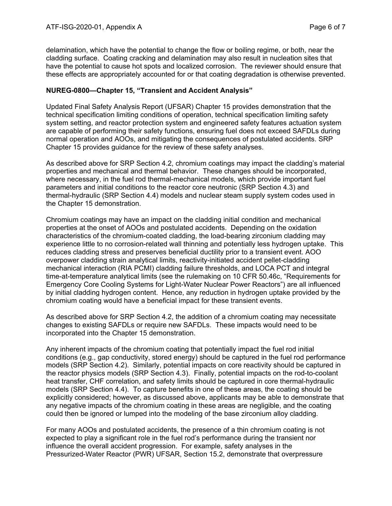delamination, which have the potential to change the flow or boiling regime, or both, near the cladding surface. Coating cracking and delamination may also result in nucleation sites that have the potential to cause hot spots and localized corrosion. The reviewer should ensure that these effects are appropriately accounted for or that coating degradation is otherwise prevented.

## **NUREG-0800—Chapter 15, "Transient and Accident Analysis"**

Updated Final Safety Analysis Report (UFSAR) Chapter 15 provides demonstration that the technical specification limiting conditions of operation, technical specification limiting safety system setting, and reactor protection system and engineered safety features actuation system are capable of performing their safety functions, ensuring fuel does not exceed SAFDLs during normal operation and AOOs, and mitigating the consequences of postulated accidents. SRP Chapter 15 provides guidance for the review of these safety analyses.

As described above for SRP Section 4.2, chromium coatings may impact the cladding's material properties and mechanical and thermal behavior. These changes should be incorporated, where necessary, in the fuel rod thermal-mechanical models, which provide important fuel parameters and initial conditions to the reactor core neutronic (SRP Section 4.3) and thermal-hydraulic (SRP Section 4.4) models and nuclear steam supply system codes used in the Chapter 15 demonstration.

Chromium coatings may have an impact on the cladding initial condition and mechanical properties at the onset of AOOs and postulated accidents. Depending on the oxidation characteristics of the chromium-coated cladding, the load-bearing zirconium cladding may experience little to no corrosion-related wall thinning and potentially less hydrogen uptake. This reduces cladding stress and preserves beneficial ductility prior to a transient event. AOO overpower cladding strain analytical limits, reactivity-initiated accident pellet-cladding mechanical interaction (RIA PCMI) cladding failure thresholds, and LOCA PCT and integral time-at-temperature analytical limits (see the rulemaking on 10 CFR 50.46c, "Requirements for Emergency Core Cooling Systems for Light-Water Nuclear Power Reactors") are all influenced by initial cladding hydrogen content. Hence, any reduction in hydrogen uptake provided by the chromium coating would have a beneficial impact for these transient events.

As described above for SRP Section 4.2, the addition of a chromium coating may necessitate changes to existing SAFDLs or require new SAFDLs. These impacts would need to be incorporated into the Chapter 15 demonstration.

Any inherent impacts of the chromium coating that potentially impact the fuel rod initial conditions (e.g., gap conductivity, stored energy) should be captured in the fuel rod performance models (SRP Section 4.2). Similarly, potential impacts on core reactivity should be captured in the reactor physics models (SRP Section 4.3). Finally, potential impacts on the rod-to-coolant heat transfer, CHF correlation, and safety limits should be captured in core thermal-hydraulic models (SRP Section 4.4). To capture benefits in one of these areas, the coating should be explicitly considered; however, as discussed above, applicants may be able to demonstrate that any negative impacts of the chromium coating in these areas are negligible, and the coating could then be ignored or lumped into the modeling of the base zirconium alloy cladding.

For many AOOs and postulated accidents, the presence of a thin chromium coating is not expected to play a significant role in the fuel rod's performance during the transient nor influence the overall accident progression. For example, safety analyses in the Pressurized-Water Reactor (PWR) UFSAR, Section 15.2, demonstrate that overpressure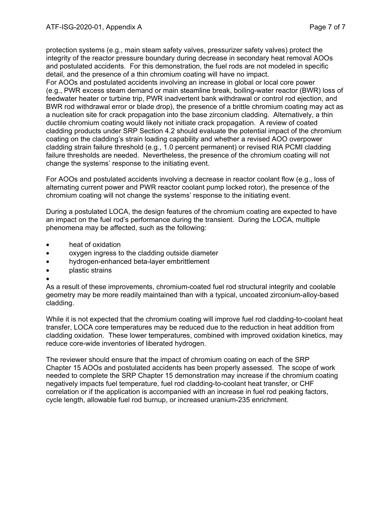protection systems (e.g., main steam safety valves, pressurizer safety valves) protect the integrity of the reactor pressure boundary during decrease in secondary heat removal AOOs and postulated accidents. For this demonstration, the fuel rods are not modeled in specific detail, and the presence of a thin chromium coating will have no impact.

For AOOs and postulated accidents involving an increase in global or local core power (e.g., PWR excess steam demand or main steamline break, boiling-water reactor (BWR) loss of feedwater heater or turbine trip, PWR inadvertent bank withdrawal or control rod ejection, and BWR rod withdrawal error or blade drop), the presence of a brittle chromium coating may act as a nucleation site for crack propagation into the base zirconium cladding. Alternatively, a thin ductile chromium coating would likely not initiate crack propagation. A review of coated cladding products under SRP Section 4.2 should evaluate the potential impact of the chromium coating on the cladding's strain loading capability and whether a revised AOO overpower cladding strain failure threshold (e.g., 1.0 percent permanent) or revised RIA PCMI cladding failure thresholds are needed. Nevertheless, the presence of the chromium coating will not change the systems' response to the initiating event.

For AOOs and postulated accidents involving a decrease in reactor coolant flow (e.g., loss of alternating current power and PWR reactor coolant pump locked rotor), the presence of the chromium coating will not change the systems' response to the initiating event.

During a postulated LOCA, the design features of the chromium coating are expected to have an impact on the fuel rod's performance during the transient. During the LOCA, multiple phenomena may be affected, such as the following:

- heat of oxidation
- oxygen ingress to the cladding outside diameter
- hydrogen-enhanced beta-layer embrittlement
- plastic strains
- •

As a result of these improvements, chromium-coated fuel rod structural integrity and coolable geometry may be more readily maintained than with a typical, uncoated zirconium-alloy-based cladding.

While it is not expected that the chromium coating will improve fuel rod cladding-to-coolant heat transfer, LOCA core temperatures may be reduced due to the reduction in heat addition from cladding oxidation. These lower temperatures, combined with improved oxidation kinetics, may reduce core-wide inventories of liberated hydrogen.

The reviewer should ensure that the impact of chromium coating on each of the SRP Chapter 15 AOOs and postulated accidents has been properly assessed. The scope of work needed to complete the SRP Chapter 15 demonstration may increase if the chromium coating negatively impacts fuel temperature, fuel rod cladding-to-coolant heat transfer, or CHF correlation or if the application is accompanied with an increase in fuel rod peaking factors, cycle length, allowable fuel rod burnup, or increased uranium-235 enrichment.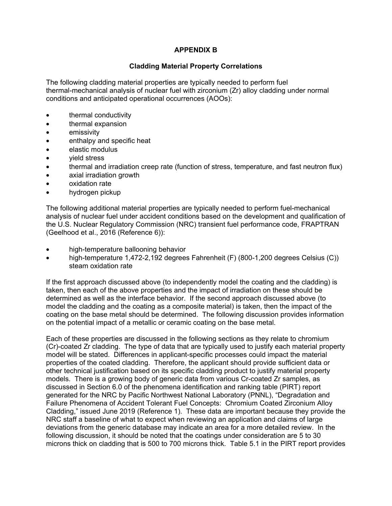# **APPENDIX B**

## **Cladding Material Property Correlations**

The following cladding material properties are typically needed to perform fuel thermal-mechanical analysis of nuclear fuel with zirconium (Zr) alloy cladding under normal conditions and anticipated operational occurrences (AOOs):

- thermal conductivity
- thermal expansion
- emissivity
- enthalpy and specific heat
- elastic modulus
- yield stress
- thermal and irradiation creep rate (function of stress, temperature, and fast neutron flux)
- axial irradiation growth
- oxidation rate
- hydrogen pickup

The following additional material properties are typically needed to perform fuel-mechanical analysis of nuclear fuel under accident conditions based on the development and qualification of the U.S. Nuclear Regulatory Commission (NRC) transient fuel performance code, FRAPTRAN (Geelhood et al., 2016 (Reference 6)):

- high-temperature ballooning behavior
- high-temperature 1,472-2,192 degrees Fahrenheit (F) (800-1,200 degrees Celsius (C)) steam oxidation rate

If the first approach discussed above (to independently model the coating and the cladding) is taken, then each of the above properties and the impact of irradiation on these should be determined as well as the interface behavior. If the second approach discussed above (to model the cladding and the coating as a composite material) is taken, then the impact of the coating on the base metal should be determined. The following discussion provides information on the potential impact of a metallic or ceramic coating on the base metal.

Each of these properties are discussed in the following sections as they relate to chromium (Cr)-coated Zr cladding. The type of data that are typically used to justify each material property model will be stated. Differences in applicant-specific processes could impact the material properties of the coated cladding. Therefore, the applicant should provide sufficient data or other technical justification based on its specific cladding product to justify material property models. There is a growing body of generic data from various Cr-coated Zr samples, as discussed in Section 6.0 of the phenomena identification and ranking table (PIRT) report generated for the NRC by Pacific Northwest National Laboratory (PNNL), "Degradation and Failure Phenomena of Accident Tolerant Fuel Concepts: Chromium Coated Zirconium Alloy Cladding," issued June 2019 (Reference 1). These data are important because they provide the NRC staff a baseline of what to expect when reviewing an application and claims of large deviations from the generic database may indicate an area for a more detailed review. In the following discussion, it should be noted that the coatings under consideration are 5 to 30 microns thick on cladding that is 500 to 700 microns thick. Table 5.1 in the PIRT report provides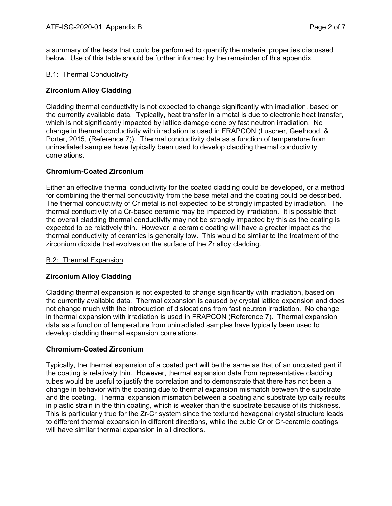a summary of the tests that could be performed to quantify the material properties discussed below. Use of this table should be further informed by the remainder of this appendix.

#### B.1: Thermal Conductivity

## **Zirconium Alloy Cladding**

Cladding thermal conductivity is not expected to change significantly with irradiation, based on the currently available data. Typically, heat transfer in a metal is due to electronic heat transfer, which is not significantly impacted by lattice damage done by fast neutron irradiation. No change in thermal conductivity with irradiation is used in FRAPCON (Luscher, Geelhood, & Porter, 2015, (Reference 7)). Thermal conductivity data as a function of temperature from unirradiated samples have typically been used to develop cladding thermal conductivity correlations.

#### **Chromium-Coated Zirconium**

Either an effective thermal conductivity for the coated cladding could be developed, or a method for combining the thermal conductivity from the base metal and the coating could be described. The thermal conductivity of Cr metal is not expected to be strongly impacted by irradiation. The thermal conductivity of a Cr-based ceramic may be impacted by irradiation. It is possible that the overall cladding thermal conductivity may not be strongly impacted by this as the coating is expected to be relatively thin. However, a ceramic coating will have a greater impact as the thermal conductivity of ceramics is generally low. This would be similar to the treatment of the zirconium dioxide that evolves on the surface of the Zr alloy cladding.

#### B.2: Thermal Expansion

# **Zirconium Alloy Cladding**

Cladding thermal expansion is not expected to change significantly with irradiation, based on the currently available data. Thermal expansion is caused by crystal lattice expansion and does not change much with the introduction of dislocations from fast neutron irradiation. No change in thermal expansion with irradiation is used in FRAPCON (Reference 7). Thermal expansion data as a function of temperature from unirradiated samples have typically been used to develop cladding thermal expansion correlations.

# **Chromium-Coated Zirconium**

Typically, the thermal expansion of a coated part will be the same as that of an uncoated part if the coating is relatively thin. However, thermal expansion data from representative cladding tubes would be useful to justify the correlation and to demonstrate that there has not been a change in behavior with the coating due to thermal expansion mismatch between the substrate and the coating. Thermal expansion mismatch between a coating and substrate typically results in plastic strain in the thin coating, which is weaker than the substrate because of its thickness. This is particularly true for the Zr-Cr system since the textured hexagonal crystal structure leads to different thermal expansion in different directions, while the cubic Cr or Cr-ceramic coatings will have similar thermal expansion in all directions.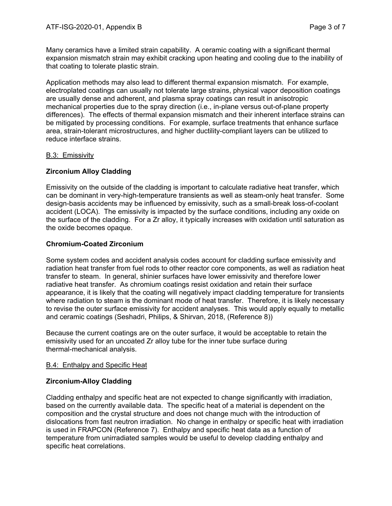Many ceramics have a limited strain capability. A ceramic coating with a significant thermal expansion mismatch strain may exhibit cracking upon heating and cooling due to the inability of that coating to tolerate plastic strain.

Application methods may also lead to different thermal expansion mismatch. For example, electroplated coatings can usually not tolerate large strains, physical vapor deposition coatings are usually dense and adherent, and plasma spray coatings can result in anisotropic mechanical properties due to the spray direction (i.e., in-plane versus out-of-plane property differences). The effects of thermal expansion mismatch and their inherent interface strains can be mitigated by processing conditions. For example, surface treatments that enhance surface area, strain-tolerant microstructures, and higher ductility-compliant layers can be utilized to reduce interface strains.

# B.3: Emissivity

# **Zirconium Alloy Cladding**

Emissivity on the outside of the cladding is important to calculate radiative heat transfer, which can be dominant in very-high-temperature transients as well as steam-only heat transfer. Some design-basis accidents may be influenced by emissivity, such as a small-break loss-of-coolant accident (LOCA). The emissivity is impacted by the surface conditions, including any oxide on the surface of the cladding. For a Zr alloy, it typically increases with oxidation until saturation as the oxide becomes opaque.

# **Chromium-Coated Zirconium**

Some system codes and accident analysis codes account for cladding surface emissivity and radiation heat transfer from fuel rods to other reactor core components, as well as radiation heat transfer to steam. In general, shinier surfaces have lower emissivity and therefore lower radiative heat transfer. As chromium coatings resist oxidation and retain their surface appearance, it is likely that the coating will negatively impact cladding temperature for transients where radiation to steam is the dominant mode of heat transfer. Therefore, it is likely necessary to revise the outer surface emissivity for accident analyses. This would apply equally to metallic and ceramic coatings (Seshadri, Philips, & Shirvan, 2018, (Reference 8))

Because the current coatings are on the outer surface, it would be acceptable to retain the emissivity used for an uncoated Zr alloy tube for the inner tube surface during thermal-mechanical analysis.

#### B.4: Enthalpy and Specific Heat

# **Zirconium-Alloy Cladding**

Cladding enthalpy and specific heat are not expected to change significantly with irradiation, based on the currently available data. The specific heat of a material is dependent on the composition and the crystal structure and does not change much with the introduction of dislocations from fast neutron irradiation. No change in enthalpy or specific heat with irradiation is used in FRAPCON (Reference 7). Enthalpy and specific heat data as a function of temperature from unirradiated samples would be useful to develop cladding enthalpy and specific heat correlations.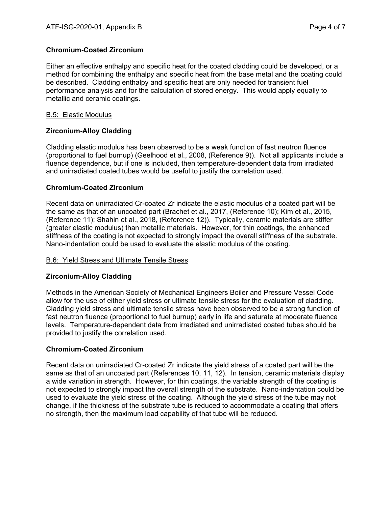# **Chromium-Coated Zirconium**

Either an effective enthalpy and specific heat for the coated cladding could be developed, or a method for combining the enthalpy and specific heat from the base metal and the coating could be described. Cladding enthalpy and specific heat are only needed for transient fuel performance analysis and for the calculation of stored energy. This would apply equally to metallic and ceramic coatings.

#### B.5: Elastic Modulus

# **Zirconium-Alloy Cladding**

Cladding elastic modulus has been observed to be a weak function of fast neutron fluence (proportional to fuel burnup) (Geelhood et al., 2008, (Reference 9)). Not all applicants include a fluence dependence, but if one is included, then temperature-dependent data from irradiated and unirradiated coated tubes would be useful to justify the correlation used.

# **Chromium-Coated Zirconium**

Recent data on unirradiated Cr-coated Zr indicate the elastic modulus of a coated part will be the same as that of an uncoated part (Brachet et al., 2017, (Reference 10); Kim et al., 2015, (Reference 11); Shahin et al., 2018, (Reference 12)). Typically, ceramic materials are stiffer (greater elastic modulus) than metallic materials. However, for thin coatings, the enhanced stiffness of the coating is not expected to strongly impact the overall stiffness of the substrate. Nano-indentation could be used to evaluate the elastic modulus of the coating.

#### B.6: Yield Stress and Ultimate Tensile Stress

# **Zirconium-Alloy Cladding**

Methods in the American Society of Mechanical Engineers Boiler and Pressure Vessel Code allow for the use of either yield stress or ultimate tensile stress for the evaluation of cladding. Cladding yield stress and ultimate tensile stress have been observed to be a strong function of fast neutron fluence (proportional to fuel burnup) early in life and saturate at moderate fluence levels. Temperature-dependent data from irradiated and unirradiated coated tubes should be provided to justify the correlation used.

# **Chromium-Coated Zirconium**

Recent data on unirradiated Cr-coated Zr indicate the yield stress of a coated part will be the same as that of an uncoated part (References 10, 11, 12). In tension, ceramic materials display a wide variation in strength. However, for thin coatings, the variable strength of the coating is not expected to strongly impact the overall strength of the substrate. Nano-indentation could be used to evaluate the yield stress of the coating. Although the yield stress of the tube may not change, if the thickness of the substrate tube is reduced to accommodate a coating that offers no strength, then the maximum load capability of that tube will be reduced.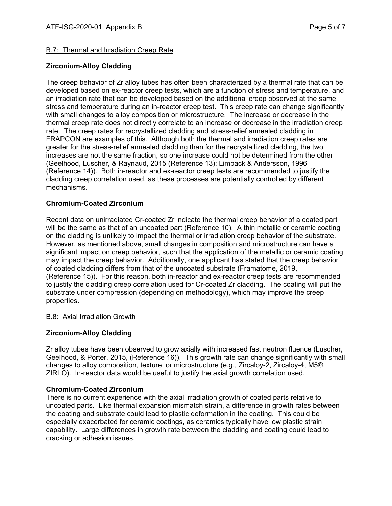# B.7: Thermal and Irradiation Creep Rate

# **Zirconium-Alloy Cladding**

The creep behavior of Zr alloy tubes has often been characterized by a thermal rate that can be developed based on ex-reactor creep tests, which are a function of stress and temperature, and an irradiation rate that can be developed based on the additional creep observed at the same stress and temperature during an in-reactor creep test. This creep rate can change significantly with small changes to alloy composition or microstructure. The increase or decrease in the thermal creep rate does not directly correlate to an increase or decrease in the irradiation creep rate. The creep rates for recrystallized cladding and stress-relief annealed cladding in FRAPCON are examples of this. Although both the thermal and irradiation creep rates are greater for the stress-relief annealed cladding than for the recrystallized cladding, the two increases are not the same fraction, so one increase could not be determined from the other (Geelhood, Luscher, & Raynaud, 2015 (Reference 13); Limback & Andersson, 1996 (Reference 14)). Both in-reactor and ex-reactor creep tests are recommended to justify the cladding creep correlation used, as these processes are potentially controlled by different mechanisms.

# **Chromium-Coated Zirconium**

Recent data on unirradiated Cr-coated Zr indicate the thermal creep behavior of a coated part will be the same as that of an uncoated part (Reference 10). A thin metallic or ceramic coating on the cladding is unlikely to impact the thermal or irradiation creep behavior of the substrate. However, as mentioned above, small changes in composition and microstructure can have a significant impact on creep behavior, such that the application of the metallic or ceramic coating may impact the creep behavior. Additionally, one applicant has stated that the creep behavior of coated cladding differs from that of the uncoated substrate (Framatome, 2019, (Reference 15)). For this reason, both in-reactor and ex-reactor creep tests are recommended to justify the cladding creep correlation used for Cr-coated Zr cladding. The coating will put the substrate under compression (depending on methodology), which may improve the creep properties.

#### B.8: Axial Irradiation Growth

# **Zirconium-Alloy Cladding**

Zr alloy tubes have been observed to grow axially with increased fast neutron fluence (Luscher, Geelhood, & Porter, 2015, (Reference 16)). This growth rate can change significantly with small changes to alloy composition, texture, or microstructure (e.g., Zircaloy-2, Zircaloy-4, M5®, ZIRLO). In-reactor data would be useful to justify the axial growth correlation used.

# **Chromium-Coated Zirconium**

There is no current experience with the axial irradiation growth of coated parts relative to uncoated parts. Like thermal expansion mismatch strain, a difference in growth rates between the coating and substrate could lead to plastic deformation in the coating. This could be especially exacerbated for ceramic coatings, as ceramics typically have low plastic strain capability. Large differences in growth rate between the cladding and coating could lead to cracking or adhesion issues.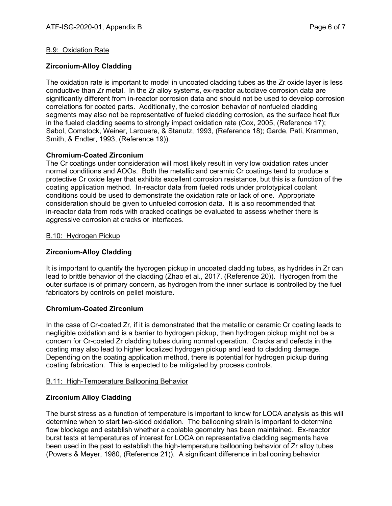#### B.9: Oxidation Rate

# **Zirconium-Alloy Cladding**

The oxidation rate is important to model in uncoated cladding tubes as the Zr oxide layer is less conductive than Zr metal. In the Zr alloy systems, ex-reactor autoclave corrosion data are significantly different from in-reactor corrosion data and should not be used to develop corrosion correlations for coated parts. Additionally, the corrosion behavior of nonfueled cladding segments may also not be representative of fueled cladding corrosion, as the surface heat flux in the fueled cladding seems to strongly impact oxidation rate (Cox, 2005, (Reference 17); Sabol, Comstock, Weiner, Larouere, & Stanutz, 1993, (Reference 18); Garde, Pati, Krammen, Smith, & Endter, 1993, (Reference 19)).

#### **Chromium-Coated Zirconium**

The Cr coatings under consideration will most likely result in very low oxidation rates under normal conditions and AOOs. Both the metallic and ceramic Cr coatings tend to produce a protective Cr oxide layer that exhibits excellent corrosion resistance, but this is a function of the coating application method. In-reactor data from fueled rods under prototypical coolant conditions could be used to demonstrate the oxidation rate or lack of one. Appropriate consideration should be given to unfueled corrosion data. It is also recommended that in-reactor data from rods with cracked coatings be evaluated to assess whether there is aggressive corrosion at cracks or interfaces.

#### B.10: Hydrogen Pickup

# **Zirconium-Alloy Cladding**

It is important to quantify the hydrogen pickup in uncoated cladding tubes, as hydrides in Zr can lead to brittle behavior of the cladding (Zhao et al., 2017, (Reference 20)). Hydrogen from the outer surface is of primary concern, as hydrogen from the inner surface is controlled by the fuel fabricators by controls on pellet moisture.

#### **Chromium-Coated Zirconium**

In the case of Cr-coated Zr, if it is demonstrated that the metallic or ceramic Cr coating leads to negligible oxidation and is a barrier to hydrogen pickup, then hydrogen pickup might not be a concern for Cr-coated Zr cladding tubes during normal operation. Cracks and defects in the coating may also lead to higher localized hydrogen pickup and lead to cladding damage. Depending on the coating application method, there is potential for hydrogen pickup during coating fabrication. This is expected to be mitigated by process controls.

#### B.11: High-Temperature Ballooning Behavior

# **Zirconium Alloy Cladding**

The burst stress as a function of temperature is important to know for LOCA analysis as this will determine when to start two-sided oxidation. The ballooning strain is important to determine flow blockage and establish whether a coolable geometry has been maintained. Ex-reactor burst tests at temperatures of interest for LOCA on representative cladding segments have been used in the past to establish the high-temperature ballooning behavior of Zr alloy tubes (Powers & Meyer, 1980, (Reference 21)). A significant difference in ballooning behavior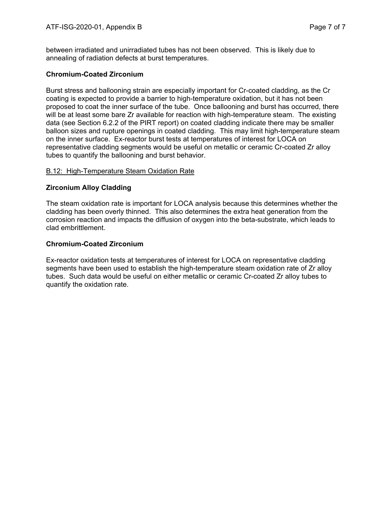between irradiated and unirradiated tubes has not been observed. This is likely due to annealing of radiation defects at burst temperatures.

# **Chromium-Coated Zirconium**

Burst stress and ballooning strain are especially important for Cr-coated cladding, as the Cr coating is expected to provide a barrier to high-temperature oxidation, but it has not been proposed to coat the inner surface of the tube. Once ballooning and burst has occurred, there will be at least some bare Zr available for reaction with high-temperature steam. The existing data (see Section 6.2.2 of the PIRT report) on coated cladding indicate there may be smaller balloon sizes and rupture openings in coated cladding. This may limit high-temperature steam on the inner surface. Ex-reactor burst tests at temperatures of interest for LOCA on representative cladding segments would be useful on metallic or ceramic Cr-coated Zr alloy tubes to quantify the ballooning and burst behavior.

#### B.12: High-Temperature Steam Oxidation Rate

#### **Zirconium Alloy Cladding**

The steam oxidation rate is important for LOCA analysis because this determines whether the cladding has been overly thinned. This also determines the extra heat generation from the corrosion reaction and impacts the diffusion of oxygen into the beta-substrate, which leads to clad embrittlement.

#### **Chromium-Coated Zirconium**

Ex-reactor oxidation tests at temperatures of interest for LOCA on representative cladding segments have been used to establish the high-temperature steam oxidation rate of Zr alloy tubes. Such data would be useful on either metallic or ceramic Cr-coated Zr alloy tubes to quantify the oxidation rate.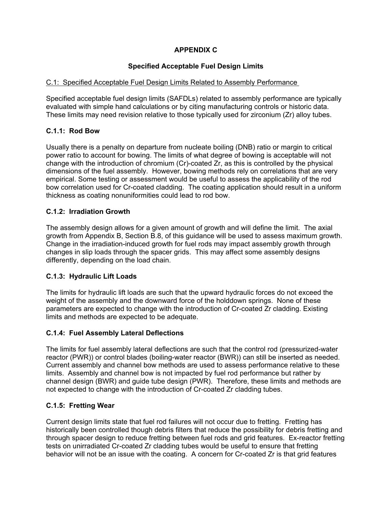# **APPENDIX C**

# **Specified Acceptable Fuel Design Limits**

# C.1: Specified Acceptable Fuel Design Limits Related to Assembly Performance

Specified acceptable fuel design limits (SAFDLs) related to assembly performance are typically evaluated with simple hand calculations or by citing manufacturing controls or historic data. These limits may need revision relative to those typically used for zirconium (Zr) alloy tubes.

# **C.1.1: Rod Bow**

Usually there is a penalty on departure from nucleate boiling (DNB) ratio or margin to critical power ratio to account for bowing. The limits of what degree of bowing is acceptable will not change with the introduction of chromium (Cr)-coated Zr, as this is controlled by the physical dimensions of the fuel assembly. However, bowing methods rely on correlations that are very empirical. Some testing or assessment would be useful to assess the applicability of the rod bow correlation used for Cr-coated cladding. The coating application should result in a uniform thickness as coating nonuniformities could lead to rod bow.

# **C.1.2: Irradiation Growth**

The assembly design allows for a given amount of growth and will define the limit. The axial growth from Appendix B, Section B.8, of this guidance will be used to assess maximum growth. Change in the irradiation-induced growth for fuel rods may impact assembly growth through changes in slip loads through the spacer grids. This may affect some assembly designs differently, depending on the load chain.

# **C.1.3: Hydraulic Lift Loads**

The limits for hydraulic lift loads are such that the upward hydraulic forces do not exceed the weight of the assembly and the downward force of the holddown springs. None of these parameters are expected to change with the introduction of Cr-coated Zr cladding. Existing limits and methods are expected to be adequate.

# **C.1.4: Fuel Assembly Lateral Deflections**

The limits for fuel assembly lateral deflections are such that the control rod (pressurized-water reactor (PWR)) or control blades (boiling-water reactor (BWR)) can still be inserted as needed. Current assembly and channel bow methods are used to assess performance relative to these limits. Assembly and channel bow is not impacted by fuel rod performance but rather by channel design (BWR) and guide tube design (PWR). Therefore, these limits and methods are not expected to change with the introduction of Cr-coated Zr cladding tubes.

# **C.1.5: Fretting Wear**

Current design limits state that fuel rod failures will not occur due to fretting. Fretting has historically been controlled though debris filters that reduce the possibility for debris fretting and through spacer design to reduce fretting between fuel rods and grid features. Ex-reactor fretting tests on unirradiated Cr-coated Zr cladding tubes would be useful to ensure that fretting behavior will not be an issue with the coating. A concern for Cr-coated Zr is that grid features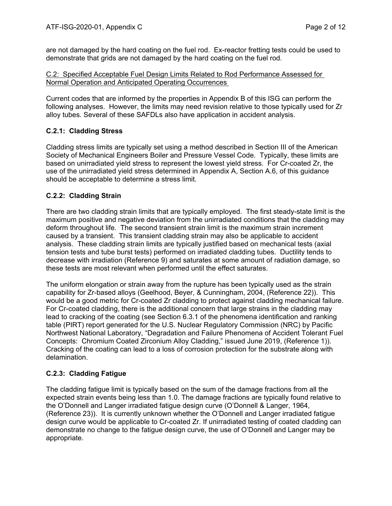are not damaged by the hard coating on the fuel rod. Ex-reactor fretting tests could be used to demonstrate that grids are not damaged by the hard coating on the fuel rod.

# C.2: Specified Acceptable Fuel Design Limits Related to Rod Performance Assessed for Normal Operation and Anticipated Operating Occurrences

Current codes that are informed by the properties in Appendix B of this ISG can perform the following analyses. However, the limits may need revision relative to those typically used for Zr alloy tubes. Several of these SAFDLs also have application in accident analysis.

# **C.2.1: Cladding Stress**

Cladding stress limits are typically set using a method described in Section III of the American Society of Mechanical Engineers Boiler and Pressure Vessel Code. Typically, these limits are based on unirradiated yield stress to represent the lowest yield stress. For Cr-coated Zr, the use of the unirradiated yield stress determined in Appendix A, Section A.6, of this guidance should be acceptable to determine a stress limit.

# **C.2.2: Cladding Strain**

There are two cladding strain limits that are typically employed. The first steady-state limit is the maximum positive and negative deviation from the unirradiated conditions that the cladding may deform throughout life. The second transient strain limit is the maximum strain increment caused by a transient. This transient cladding strain may also be applicable to accident analysis. These cladding strain limits are typically justified based on mechanical tests (axial tension tests and tube burst tests) performed on irradiated cladding tubes. Ductility tends to decrease with irradiation (Reference 9) and saturates at some amount of radiation damage, so these tests are most relevant when performed until the effect saturates.

The uniform elongation or strain away from the rupture has been typically used as the strain capability for Zr-based alloys (Geelhood, Beyer, & Cunningham, 2004, (Reference 22)). This would be a good metric for Cr-coated Zr cladding to protect against cladding mechanical failure. For Cr-coated cladding, there is the additional concern that large strains in the cladding may lead to cracking of the coating (see Section 6.3.1 of the phenomena identification and ranking table (PIRT) report generated for the U.S. Nuclear Regulatory Commission (NRC) by Pacific Northwest National Laboratory, "Degradation and Failure Phenomena of Accident Tolerant Fuel Concepts: Chromium Coated Zirconium Alloy Cladding," issued June 2019, (Reference 1)). Cracking of the coating can lead to a loss of corrosion protection for the substrate along with delamination.

# **C.2.3: Cladding Fatigue**

The cladding fatigue limit is typically based on the sum of the damage fractions from all the expected strain events being less than 1.0. The damage fractions are typically found relative to the O'Donnell and Langer irradiated fatigue design curve (O'Donnell & Langer, 1964, (Reference 23)). It is currently unknown whether the O'Donnell and Langer irradiated fatigue design curve would be applicable to Cr-coated Zr. If unirradiated testing of coated cladding can demonstrate no change to the fatigue design curve, the use of O'Donnell and Langer may be appropriate.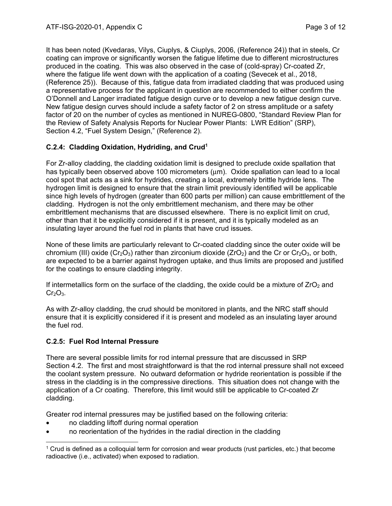It has been noted (Kvedaras, Vilys, Ciuplys, & Ciuplys, 2006, (Reference 24)) that in steels, Cr coating can improve or significantly worsen the fatigue lifetime due to different microstructures produced in the coating. This was also observed in the case of (cold-spray) Cr-coated Zr, where the fatigue life went down with the application of a coating (Sevecek et al., 2018, (Reference 25)). Because of this, fatigue data from irradiated cladding that was produced using a representative process for the applicant in question are recommended to either confirm the O'Donnell and Langer irradiated fatigue design curve or to develop a new fatigue design curve. New fatigue design curves should include a safety factor of 2 on stress amplitude or a safety factor of 20 on the number of cycles as mentioned in NUREG-0800, "Standard Review Plan for the Review of Safety Analysis Reports for Nuclear Power Plants: LWR Edition" (SRP), Section 4.2, "Fuel System Design," (Reference 2).

# **C.2.4: Cladding Oxidation, Hydriding, and Crud1**

For Zr-alloy cladding, the cladding oxidation limit is designed to preclude oxide spallation that has typically been observed above 100 micrometers (μm). Oxide spallation can lead to a local cool spot that acts as a sink for hydrides, creating a local, extremely brittle hydride lens. The hydrogen limit is designed to ensure that the strain limit previously identified will be applicable since high levels of hydrogen (greater than 600 parts per million) can cause embrittlement of the cladding. Hydrogen is not the only embrittlement mechanism, and there may be other embrittlement mechanisms that are discussed elsewhere. There is no explicit limit on crud, other than that it be explicitly considered if it is present, and it is typically modeled as an insulating layer around the fuel rod in plants that have crud issues.

None of these limits are particularly relevant to Cr-coated cladding since the outer oxide will be chromium (III) oxide ( $Cr_2O_3$ ) rather than zirconium dioxide ( $ZrO_2$ ) and the Cr or  $Cr_2O_3$ , or both, are expected to be a barrier against hydrogen uptake, and thus limits are proposed and justified for the coatings to ensure cladding integrity.

If intermetallics form on the surface of the cladding, the oxide could be a mixture of  $ZrO<sub>2</sub>$  and  $Cr_2O_3$ .

As with Zr-alloy cladding, the crud should be monitored in plants, and the NRC staff should ensure that it is explicitly considered if it is present and modeled as an insulating layer around the fuel rod.

# **C.2.5: Fuel Rod Internal Pressure**

There are several possible limits for rod internal pressure that are discussed in SRP Section 4.2. The first and most straightforward is that the rod internal pressure shall not exceed the coolant system pressure. No outward deformation or hydride reorientation is possible if the stress in the cladding is in the compressive directions. This situation does not change with the application of a Cr coating. Therefore, this limit would still be applicable to Cr-coated Zr cladding.

Greater rod internal pressures may be justified based on the following criteria:

- no cladding liftoff during normal operation
- no reorientation of the hydrides in the radial direction in the cladding

<sup>-</sup>1 Crud is defined as a colloquial term for corrosion and wear products (rust particles, etc.) that become radioactive (i.e., activated) when exposed to radiation.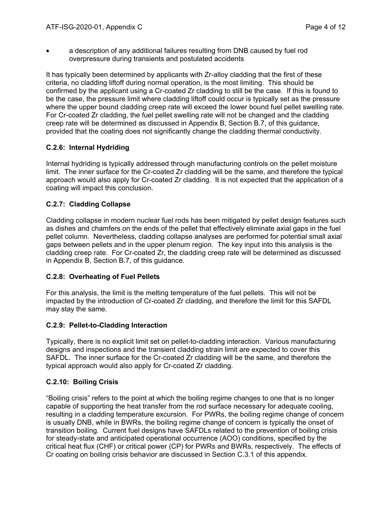• a description of any additional failures resulting from DNB caused by fuel rod overpressure during transients and postulated accidents

It has typically been determined by applicants with Zr-alloy cladding that the first of these criteria, no cladding liftoff during normal operation, is the most limiting. This should be confirmed by the applicant using a Cr-coated Zr cladding to still be the case. If this is found to be the case, the pressure limit where cladding liftoff could occur is typically set as the pressure where the upper bound cladding creep rate will exceed the lower bound fuel pellet swelling rate. For Cr-coated Zr cladding, the fuel pellet swelling rate will not be changed and the cladding creep rate will be determined as discussed in Appendix B, Section B.7, of this guidance, provided that the coating does not significantly change the cladding thermal conductivity.

# **C.2.6: Internal Hydriding**

Internal hydriding is typically addressed through manufacturing controls on the pellet moisture limit. The inner surface for the Cr-coated Zr cladding will be the same, and therefore the typical approach would also apply for Cr-coated Zr cladding. It is not expected that the application of a coating will impact this conclusion.

# **C.2.7: Cladding Collapse**

Cladding collapse in modern nuclear fuel rods has been mitigated by pellet design features such as dishes and chamfers on the ends of the pellet that effectively eliminate axial gaps in the fuel pellet column. Nevertheless, cladding collapse analyses are performed for potential small axial gaps between pellets and in the upper plenum region. The key input into this analysis is the cladding creep rate. For Cr-coated Zr, the cladding creep rate will be determined as discussed in Appendix B, Section B.7, of this guidance.

# **C.2.8: Overheating of Fuel Pellets**

For this analysis, the limit is the melting temperature of the fuel pellets. This will not be impacted by the introduction of Cr-coated Zr cladding, and therefore the limit for this SAFDL may stay the same.

# **C.2.9: Pellet-to-Cladding Interaction**

Typically, there is no explicit limit set on pellet-to-cladding interaction. Various manufacturing designs and inspections and the transient cladding strain limit are expected to cover this SAFDL. The inner surface for the Cr-coated Zr cladding will be the same, and therefore the typical approach would also apply for Cr-coated Zr cladding.

# **C.2.10: Boiling Crisis**

"Boiling crisis" refers to the point at which the boiling regime changes to one that is no longer capable of supporting the heat transfer from the rod surface necessary for adequate cooling, resulting in a cladding temperature excursion. For PWRs, the boiling regime change of concern is usually DNB, while in BWRs, the boiling regime change of concern is typically the onset of transition boiling. Current fuel designs have SAFDLs related to the prevention of boiling crisis for steady-state and anticipated operational occurrence (AOO) conditions, specified by the critical heat flux (CHF) or critical power (CP) for PWRs and BWRs, respectively. The effects of Cr coating on boiling crisis behavior are discussed in Section C.3.1 of this appendix.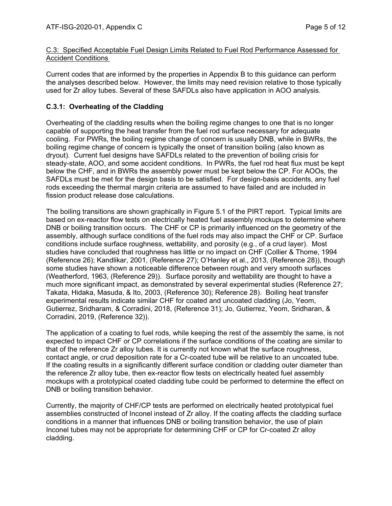#### C.3: Specified Acceptable Fuel Design Limits Related to Fuel Rod Performance Assessed for Accident Conditions

Current codes that are informed by the properties in Appendix B to this guidance can perform the analyses described below. However, the limits may need revision relative to those typically used for Zr alloy tubes. Several of these SAFDLs also have application in AOO analysis.

# **C.3.1: Overheating of the Cladding**

Overheating of the cladding results when the boiling regime changes to one that is no longer capable of supporting the heat transfer from the fuel rod surface necessary for adequate cooling. For PWRs, the boiling regime change of concern is usually DNB, while in BWRs, the boiling regime change of concern is typically the onset of transition boiling (also known as dryout). Current fuel designs have SAFDLs related to the prevention of boiling crisis for steady-state, AOO, and some accident conditions. In PWRs, the fuel rod heat flux must be kept below the CHF, and in BWRs the assembly power must be kept below the CP. For AOOs, the SAFDLs must be met for the design basis to be satisfied. For design-basis accidents, any fuel rods exceeding the thermal margin criteria are assumed to have failed and are included in fission product release dose calculations.

The boiling transitions are shown graphically in Figure 5.1 of the PIRT report. Typical limits are based on ex-reactor flow tests on electrically heated fuel assembly mockups to determine where DNB or boiling transition occurs. The CHF or CP is primarily influenced on the geometry of the assembly, although surface conditions of the fuel rods may also impact the CHF or CP. Surface conditions include surface roughness, wettability, and porosity (e.g., of a crud layer). Most studies have concluded that roughness has little or no impact on CHF (Collier & Thome, 1994 (Reference 26); Kandlikar, 2001, (Reference 27); O'Hanley et al., 2013, (Reference 28)), though some studies have shown a noticeable difference between rough and very smooth surfaces (Weatherford, 1963, (Reference 29)). Surface porosity and wettability are thought to have a much more significant impact, as demonstrated by several experimental studies (Reference 27; Takata, Hidaka, Masuda, & Ito, 2003, (Reference 30); Reference 28). Boiling heat transfer experimental results indicate similar CHF for coated and uncoated cladding (Jo, Yeom, Gutierrez, Sridharam, & Corradini, 2018, (Reference 31); Jo, Gutierrez, Yeom, Sridharan, & Corradini, 2019, (Reference 32)).

The application of a coating to fuel rods, while keeping the rest of the assembly the same, is not expected to impact CHF or CP correlations if the surface conditions of the coating are similar to that of the reference Zr alloy tubes. It is currently not known what the surface roughness, contact angle, or crud deposition rate for a Cr-coated tube will be relative to an uncoated tube. If the coating results in a significantly different surface condition or cladding outer diameter than the reference Zr alloy tube, then ex-reactor flow tests on electrically heated fuel assembly mockups with a prototypical coated cladding tube could be performed to determine the effect on DNB or boiling transition behavior.

Currently, the majority of CHF/CP tests are performed on electrically heated prototypical fuel assemblies constructed of Inconel instead of Zr alloy. If the coating affects the cladding surface conditions in a manner that influences DNB or boiling transition behavior, the use of plain Inconel tubes may not be appropriate for determining CHF or CP for Cr-coated Zr alloy cladding.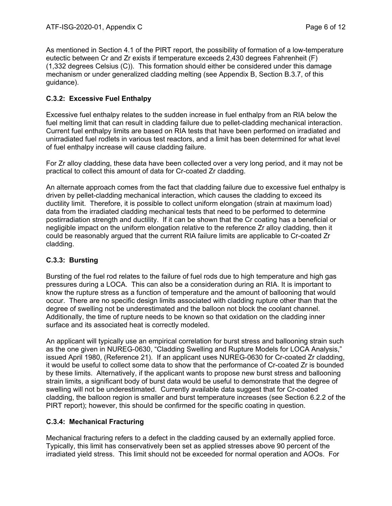As mentioned in Section 4.1 of the PIRT report, the possibility of formation of a low-temperature eutectic between Cr and Zr exists if temperature exceeds 2,430 degrees Fahrenheit (F) (1,332 degrees Celsius (C)). This formation should either be considered under this damage mechanism or under generalized cladding melting (see Appendix B, Section B.3.7, of this guidance).

# **C.3.2: Excessive Fuel Enthalpy**

Excessive fuel enthalpy relates to the sudden increase in fuel enthalpy from an RIA below the fuel melting limit that can result in cladding failure due to pellet-cladding mechanical interaction. Current fuel enthalpy limits are based on RIA tests that have been performed on irradiated and unirradiated fuel rodlets in various test reactors, and a limit has been determined for what level of fuel enthalpy increase will cause cladding failure.

For Zr alloy cladding, these data have been collected over a very long period, and it may not be practical to collect this amount of data for Cr-coated Zr cladding.

An alternate approach comes from the fact that cladding failure due to excessive fuel enthalpy is driven by pellet-cladding mechanical interaction, which causes the cladding to exceed its ductility limit. Therefore, it is possible to collect uniform elongation (strain at maximum load) data from the irradiated cladding mechanical tests that need to be performed to determine postirradiation strength and ductility. If it can be shown that the Cr coating has a beneficial or negligible impact on the uniform elongation relative to the reference Zr alloy cladding, then it could be reasonably argued that the current RIA failure limits are applicable to Cr-coated Zr cladding.

# **C.3.3: Bursting**

Bursting of the fuel rod relates to the failure of fuel rods due to high temperature and high gas pressures during a LOCA. This can also be a consideration during an RIA. It is important to know the rupture stress as a function of temperature and the amount of ballooning that would occur. There are no specific design limits associated with cladding rupture other than that the degree of swelling not be underestimated and the balloon not block the coolant channel. Additionally, the time of rupture needs to be known so that oxidation on the cladding inner surface and its associated heat is correctly modeled.

An applicant will typically use an empirical correlation for burst stress and ballooning strain such as the one given in NUREG-0630, "Cladding Swelling and Rupture Models for LOCA Analysis," issued April 1980, (Reference 21). If an applicant uses NUREG-0630 for Cr-coated Zr cladding, it would be useful to collect some data to show that the performance of Cr-coated Zr is bounded by these limits. Alternatively, if the applicant wants to propose new burst stress and ballooning strain limits, a significant body of burst data would be useful to demonstrate that the degree of swelling will not be underestimated. Currently available data suggest that for Cr-coated cladding, the balloon region is smaller and burst temperature increases (see Section 6.2.2 of the PIRT report); however, this should be confirmed for the specific coating in question.

# **C.3.4: Mechanical Fracturing**

Mechanical fracturing refers to a defect in the cladding caused by an externally applied force. Typically, this limit has conservatively been set as applied stresses above 90 percent of the irradiated yield stress. This limit should not be exceeded for normal operation and AOOs. For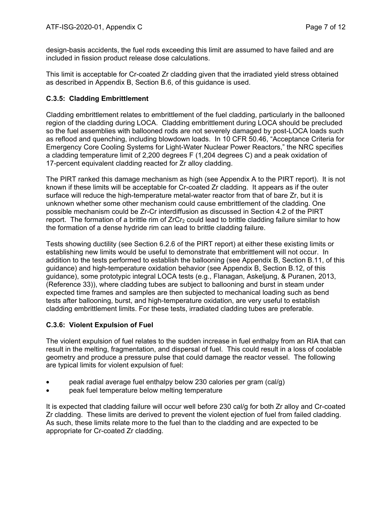design-basis accidents, the fuel rods exceeding this limit are assumed to have failed and are included in fission product release dose calculations.

This limit is acceptable for Cr-coated Zr cladding given that the irradiated yield stress obtained as described in Appendix B, Section B.6, of this guidance is used.

# **C.3.5: Cladding Embrittlement**

Cladding embrittlement relates to embrittlement of the fuel cladding, particularly in the ballooned region of the cladding during LOCA. Cladding embrittlement during LOCA should be precluded so the fuel assemblies with ballooned rods are not severely damaged by post-LOCA loads such as reflood and quenching, including blowdown loads. In 10 CFR 50.46, "Acceptance Criteria for Emergency Core Cooling Systems for Light-Water Nuclear Power Reactors," the NRC specifies a cladding temperature limit of 2,200 degrees F (1,204 degrees C) and a peak oxidation of 17-percent equivalent cladding reacted for Zr alloy cladding.

The PIRT ranked this damage mechanism as high (see Appendix A to the PIRT report). It is not known if these limits will be acceptable for Cr-coated Zr cladding. It appears as if the outer surface will reduce the high-temperature metal-water reactor from that of bare Zr, but it is unknown whether some other mechanism could cause embrittlement of the cladding. One possible mechanism could be Zr-Cr interdiffusion as discussed in Section 4.2 of the PIRT report. The formation of a brittle rim of  $ZrCr<sub>2</sub>$  could lead to brittle cladding failure similar to how the formation of a dense hydride rim can lead to brittle cladding failure.

Tests showing ductility (see Section 6.2.6 of the PIRT report) at either these existing limits or establishing new limits would be useful to demonstrate that embrittlement will not occur. In addition to the tests performed to establish the ballooning (see Appendix B, Section B.11, of this guidance) and high-temperature oxidation behavior (see Appendix B, Section B.12, of this guidance), some prototypic integral LOCA tests (e.g., Flanagan, Askeljung, & Puranen, 2013, (Reference 33)), where cladding tubes are subject to ballooning and burst in steam under expected time frames and samples are then subjected to mechanical loading such as bend tests after ballooning, burst, and high-temperature oxidation, are very useful to establish cladding embrittlement limits. For these tests, irradiated cladding tubes are preferable.

# **C.3.6: Violent Expulsion of Fuel**

The violent expulsion of fuel relates to the sudden increase in fuel enthalpy from an RIA that can result in the melting, fragmentation, and dispersal of fuel. This could result in a loss of coolable geometry and produce a pressure pulse that could damage the reactor vessel. The following are typical limits for violent expulsion of fuel:

- peak radial average fuel enthalpy below 230 calories per gram (cal/g)
- peak fuel temperature below melting temperature

It is expected that cladding failure will occur well before 230 cal/g for both Zr alloy and Cr-coated Zr cladding. These limits are derived to prevent the violent ejection of fuel from failed cladding. As such, these limits relate more to the fuel than to the cladding and are expected to be appropriate for Cr-coated Zr cladding.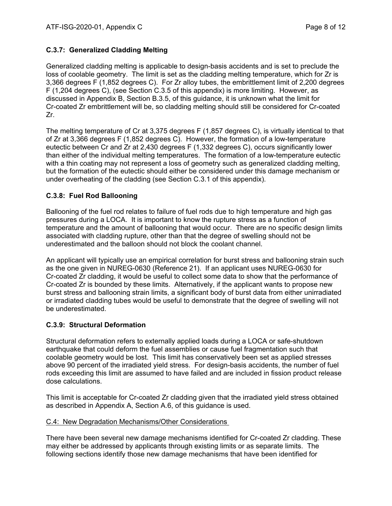# **C.3.7: Generalized Cladding Melting**

Generalized cladding melting is applicable to design-basis accidents and is set to preclude the loss of coolable geometry. The limit is set as the cladding melting temperature, which for Zr is 3,366 degrees F (1,852 degrees C). For Zr alloy tubes, the embrittlement limit of 2,200 degrees F (1,204 degrees C), (see Section C.3.5 of this appendix) is more limiting. However, as discussed in Appendix B, Section B.3.5, of this guidance, it is unknown what the limit for Cr-coated Zr embrittlement will be, so cladding melting should still be considered for Cr-coated Zr.

The melting temperature of Cr at 3,375 degrees F (1,857 degrees C), is virtually identical to that of Zr at 3,366 degrees F (1,852 degrees C). However, the formation of a low-temperature eutectic between Cr and Zr at 2,430 degrees F (1,332 degrees C), occurs significantly lower than either of the individual melting temperatures. The formation of a low-temperature eutectic with a thin coating may not represent a loss of geometry such as generalized cladding melting, but the formation of the eutectic should either be considered under this damage mechanism or under overheating of the cladding (see Section C.3.1 of this appendix).

# **C.3.8: Fuel Rod Ballooning**

Ballooning of the fuel rod relates to failure of fuel rods due to high temperature and high gas pressures during a LOCA. It is important to know the rupture stress as a function of temperature and the amount of ballooning that would occur. There are no specific design limits associated with cladding rupture, other than that the degree of swelling should not be underestimated and the balloon should not block the coolant channel.

An applicant will typically use an empirical correlation for burst stress and ballooning strain such as the one given in NUREG-0630 (Reference 21). If an applicant uses NUREG-0630 for Cr-coated Zr cladding, it would be useful to collect some data to show that the performance of Cr-coated Zr is bounded by these limits. Alternatively, if the applicant wants to propose new burst stress and ballooning strain limits, a significant body of burst data from either unirradiated or irradiated cladding tubes would be useful to demonstrate that the degree of swelling will not be underestimated.

# **C.3.9: Structural Deformation**

Structural deformation refers to externally applied loads during a LOCA or safe-shutdown earthquake that could deform the fuel assemblies or cause fuel fragmentation such that coolable geometry would be lost. This limit has conservatively been set as applied stresses above 90 percent of the irradiated yield stress. For design-basis accidents, the number of fuel rods exceeding this limit are assumed to have failed and are included in fission product release dose calculations.

This limit is acceptable for Cr-coated Zr cladding given that the irradiated yield stress obtained as described in Appendix A, Section A.6, of this guidance is used.

# C.4: New Degradation Mechanisms/Other Considerations

There have been several new damage mechanisms identified for Cr-coated Zr cladding. These may either be addressed by applicants through existing limits or as separate limits. The following sections identify those new damage mechanisms that have been identified for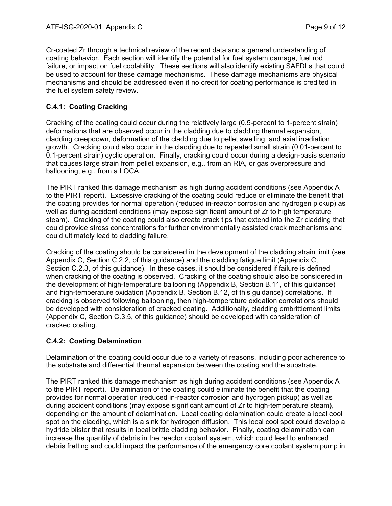Cr-coated Zr through a technical review of the recent data and a general understanding of coating behavior. Each section will identify the potential for fuel system damage, fuel rod failure, or impact on fuel coolability. These sections will also identify existing SAFDLs that could be used to account for these damage mechanisms. These damage mechanisms are physical mechanisms and should be addressed even if no credit for coating performance is credited in the fuel system safety review.

# **C.4.1: Coating Cracking**

Cracking of the coating could occur during the relatively large (0.5-percent to 1-percent strain) deformations that are observed occur in the cladding due to cladding thermal expansion, cladding creepdown, deformation of the cladding due to pellet swelling, and axial irradiation growth. Cracking could also occur in the cladding due to repeated small strain (0.01-percent to 0.1-percent strain) cyclic operation. Finally, cracking could occur during a design-basis scenario that causes large strain from pellet expansion, e.g., from an RIA, or gas overpressure and ballooning, e.g., from a LOCA.

The PIRT ranked this damage mechanism as high during accident conditions (see Appendix A to the PIRT report). Excessive cracking of the coating could reduce or eliminate the benefit that the coating provides for normal operation (reduced in-reactor corrosion and hydrogen pickup) as well as during accident conditions (may expose significant amount of Zr to high temperature steam). Cracking of the coating could also create crack tips that extend into the Zr cladding that could provide stress concentrations for further environmentally assisted crack mechanisms and could ultimately lead to cladding failure.

Cracking of the coating should be considered in the development of the cladding strain limit (see Appendix C, Section C.2.2, of this guidance) and the cladding fatigue limit (Appendix C, Section C.2.3, of this guidance). In these cases, it should be considered if failure is defined when cracking of the coating is observed. Cracking of the coating should also be considered in the development of high-temperature ballooning (Appendix B, Section B.11, of this guidance) and high-temperature oxidation (Appendix B, Section B.12, of this guidance) correlations. If cracking is observed following ballooning, then high-temperature oxidation correlations should be developed with consideration of cracked coating. Additionally, cladding embrittlement limits (Appendix C, Section C.3.5, of this guidance) should be developed with consideration of cracked coating.

# **C.4.2: Coating Delamination**

Delamination of the coating could occur due to a variety of reasons, including poor adherence to the substrate and differential thermal expansion between the coating and the substrate.

The PIRT ranked this damage mechanism as high during accident conditions (see Appendix A to the PIRT report). Delamination of the coating could eliminate the benefit that the coating provides for normal operation (reduced in-reactor corrosion and hydrogen pickup) as well as during accident conditions (may expose significant amount of Zr to high-temperature steam), depending on the amount of delamination. Local coating delamination could create a local cool spot on the cladding, which is a sink for hydrogen diffusion. This local cool spot could develop a hydride blister that results in local brittle cladding behavior. Finally, coating delamination can increase the quantity of debris in the reactor coolant system, which could lead to enhanced debris fretting and could impact the performance of the emergency core coolant system pump in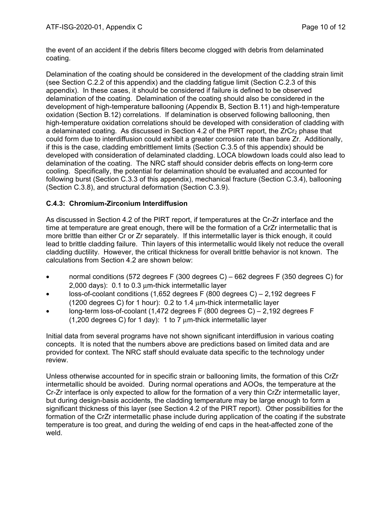the event of an accident if the debris filters become clogged with debris from delaminated coating.

Delamination of the coating should be considered in the development of the cladding strain limit (see Section C.2.2 of this appendix) and the cladding fatigue limit (Section C.2.3 of this appendix). In these cases, it should be considered if failure is defined to be observed delamination of the coating. Delamination of the coating should also be considered in the development of high-temperature ballooning (Appendix B, Section B.11) and high-temperature oxidation (Section B.12) correlations. If delamination is observed following ballooning, then high-temperature oxidation correlations should be developed with consideration of cladding with a delaminated coating. As discussed in Section 4.2 of the PIRT report, the  $ZrCr<sub>2</sub>$  phase that could form due to interdiffusion could exhibit a greater corrosion rate than bare Zr. Additionally, if this is the case, cladding embrittlement limits (Section C.3.5 of this appendix) should be developed with consideration of delaminated cladding. LOCA blowdown loads could also lead to delamination of the coating. The NRC staff should consider debris effects on long-term core cooling. Specifically, the potential for delamination should be evaluated and accounted for following burst (Section C.3.3 of this appendix), mechanical fracture (Section C.3.4), ballooning (Section C.3.8), and structural deformation (Section C.3.9).

# **C.4.3: Chromium-Zirconium Interdiffusion**

As discussed in Section 4.2 of the PIRT report, if temperatures at the Cr-Zr interface and the time at temperature are great enough, there will be the formation of a CrZr intermetallic that is more brittle than either Cr or Zr separately. If this intermetallic layer is thick enough, it could lead to brittle cladding failure. Thin layers of this intermetallic would likely not reduce the overall cladding ductility. However, the critical thickness for overall brittle behavior is not known. The calculations from Section 4.2 are shown below:

- normal conditions (572 degrees F (300 degrees C) 662 degrees F (350 degrees C) for 2,000 days): 0.1 to 0.3 μm-thick intermetallic layer
- loss-of-coolant conditions (1,652 degrees F (800 degrees C) 2,192 degrees F (1200 degrees C) for 1 hour): 0.2 to 1.4 μm-thick intermetallic layer
- long-term loss-of-coolant  $(1.472$  degrees F  $(800$  degrees C) 2,192 degrees F (1,200 degrees C) for 1 day): 1 to 7 μm-thick intermetallic layer

Initial data from several programs have not shown significant interdiffusion in various coating concepts. It is noted that the numbers above are predictions based on limited data and are provided for context. The NRC staff should evaluate data specific to the technology under review.

Unless otherwise accounted for in specific strain or ballooning limits, the formation of this CrZr intermetallic should be avoided. During normal operations and AOOs, the temperature at the Cr-Zr interface is only expected to allow for the formation of a very thin CrZr intermetallic layer, but during design-basis accidents, the cladding temperature may be large enough to form a significant thickness of this layer (see Section 4.2 of the PIRT report). Other possibilities for the formation of the CrZr intermetallic phase include during application of the coating if the substrate temperature is too great, and during the welding of end caps in the heat-affected zone of the weld.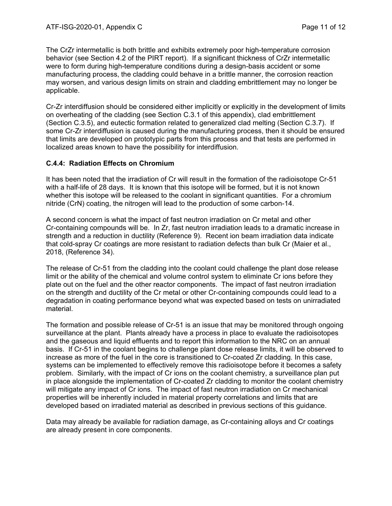The CrZr intermetallic is both brittle and exhibits extremely poor high-temperature corrosion behavior (see Section 4.2 of the PIRT report). If a significant thickness of CrZr intermetallic were to form during high-temperature conditions during a design-basis accident or some manufacturing process, the cladding could behave in a brittle manner, the corrosion reaction may worsen, and various design limits on strain and cladding embrittlement may no longer be applicable.

Cr-Zr interdiffusion should be considered either implicitly or explicitly in the development of limits on overheating of the cladding (see Section C.3.1 of this appendix), clad embrittlement (Section C.3.5), and eutectic formation related to generalized clad melting (Section C.3.7). If some Cr-Zr interdiffusion is caused during the manufacturing process, then it should be ensured that limits are developed on prototypic parts from this process and that tests are performed in localized areas known to have the possibility for interdiffusion.

# **C.4.4: Radiation Effects on Chromium**

It has been noted that the irradiation of Cr will result in the formation of the radioisotope Cr-51 with a half-life of 28 days. It is known that this isotope will be formed, but it is not known whether this isotope will be released to the coolant in significant quantities. For a chromium nitride (CrN) coating, the nitrogen will lead to the production of some carbon-14.

A second concern is what the impact of fast neutron irradiation on Cr metal and other Cr-containing compounds will be. In Zr, fast neutron irradiation leads to a dramatic increase in strength and a reduction in ductility (Reference 9). Recent ion beam irradiation data indicate that cold-spray Cr coatings are more resistant to radiation defects than bulk Cr (Maier et al., 2018, (Reference 34).

The release of Cr-51 from the cladding into the coolant could challenge the plant dose release limit or the ability of the chemical and volume control system to eliminate Cr ions before they plate out on the fuel and the other reactor components. The impact of fast neutron irradiation on the strength and ductility of the Cr metal or other Cr-containing compounds could lead to a degradation in coating performance beyond what was expected based on tests on unirradiated material.

The formation and possible release of Cr-51 is an issue that may be monitored through ongoing surveillance at the plant. Plants already have a process in place to evaluate the radioisotopes and the gaseous and liquid effluents and to report this information to the NRC on an annual basis. If Cr-51 in the coolant begins to challenge plant dose release limits, it will be observed to increase as more of the fuel in the core is transitioned to Cr-coated Zr cladding. In this case, systems can be implemented to effectively remove this radioisotope before it becomes a safety problem. Similarly, with the impact of Cr ions on the coolant chemistry, a surveillance plan put in place alongside the implementation of Cr-coated Zr cladding to monitor the coolant chemistry will mitigate any impact of Cr ions. The impact of fast neutron irradiation on Cr mechanical properties will be inherently included in material property correlations and limits that are developed based on irradiated material as described in previous sections of this guidance.

Data may already be available for radiation damage, as Cr-containing alloys and Cr coatings are already present in core components.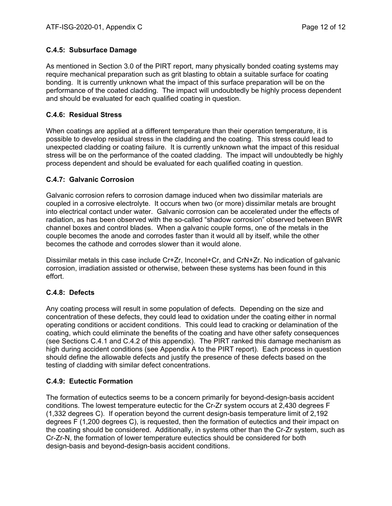# **C.4.5: Subsurface Damage**

As mentioned in Section 3.0 of the PIRT report, many physically bonded coating systems may require mechanical preparation such as grit blasting to obtain a suitable surface for coating bonding. It is currently unknown what the impact of this surface preparation will be on the performance of the coated cladding. The impact will undoubtedly be highly process dependent and should be evaluated for each qualified coating in question.

# **C.4.6: Residual Stress**

When coatings are applied at a different temperature than their operation temperature, it is possible to develop residual stress in the cladding and the coating. This stress could lead to unexpected cladding or coating failure. It is currently unknown what the impact of this residual stress will be on the performance of the coated cladding. The impact will undoubtedly be highly process dependent and should be evaluated for each qualified coating in question.

# **C.4.7: Galvanic Corrosion**

Galvanic corrosion refers to corrosion damage induced when two dissimilar materials are coupled in a corrosive electrolyte. It occurs when two (or more) dissimilar metals are brought into electrical contact under water. Galvanic corrosion can be accelerated under the effects of radiation, as has been observed with the so-called "shadow corrosion" observed between BWR channel boxes and control blades. When a galvanic couple forms, one of the metals in the couple becomes the anode and corrodes faster than it would all by itself, while the other becomes the cathode and corrodes slower than it would alone.

Dissimilar metals in this case include Cr+Zr, Inconel+Cr, and CrN+Zr. No indication of galvanic corrosion, irradiation assisted or otherwise, between these systems has been found in this effort.

# **C.4.8: Defects**

Any coating process will result in some population of defects. Depending on the size and concentration of these defects, they could lead to oxidation under the coating either in normal operating conditions or accident conditions. This could lead to cracking or delamination of the coating, which could eliminate the benefits of the coating and have other safety consequences (see Sections C.4.1 and C.4.2 of this appendix). The PIRT ranked this damage mechanism as high during accident conditions (see Appendix A to the PIRT report). Each process in question should define the allowable defects and justify the presence of these defects based on the testing of cladding with similar defect concentrations.

# **C.4.9: Eutectic Formation**

The formation of eutectics seems to be a concern primarily for beyond-design-basis accident conditions. The lowest temperature eutectic for the Cr-Zr system occurs at 2,430 degrees F (1,332 degrees C). If operation beyond the current design-basis temperature limit of 2,192 degrees F (1,200 degrees C), is requested, then the formation of eutectics and their impact on the coating should be considered. Additionally, in systems other than the Cr-Zr system, such as Cr-Zr-N, the formation of lower temperature eutectics should be considered for both design-basis and beyond-design-basis accident conditions.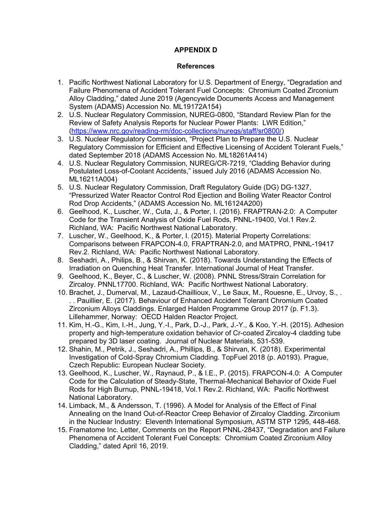# **APPENDIX D**

## **References**

- 1. Pacific Northwest National Laboratory for U.S. Department of Energy, "Degradation and Failure Phenomena of Accident Tolerant Fuel Concepts: Chromium Coated Zirconium Alloy Cladding," dated June 2019 (Agencywide Documents Access and Management System (ADAMS) Accession No. ML19172A154)
- 2. U.S. Nuclear Regulatory Commission, NUREG-0800, "Standard Review Plan for the Review of Safety Analysis Reports for Nuclear Power Plants: LWR Edition," (https://www.nrc.gov/reading-rm/doc-collections/nuregs/staff/sr0800/)
- 3. U.S. Nuclear Regulatory Commission, "Project Plan to Prepare the U.S. Nuclear Regulatory Commission for Efficient and Effective Licensing of Accident Tolerant Fuels," dated September 2018 (ADAMS Accession No. ML18261A414)
- 4. U.S. Nuclear Regulatory Commission, NUREG/CR-7219, "Cladding Behavior during Postulated Loss-of-Coolant Accidents," issued July 2016 (ADAMS Accession No. ML16211A004)
- 5. U.S. Nuclear Regulatory Commission, Draft Regulatory Guide (DG) DG-1327, "Pressurized Water Reactor Control Rod Ejection and Boiling Water Reactor Control Rod Drop Accidents," (ADAMS Accession No. ML16124A200)
- 6. Geelhood, K., Luscher, W., Cuta, J., & Porter, I. (2016). FRAPTRAN-2.0: A Computer Code for the Transient Analysis of Oxide Fuel Rods, PNNL-19400, Vol.1 Rev.2. Richland, WA: Pacific Northwest National Laboratory.
- 7. Luscher, W., Geelhood, K., & Porter, I. (2015). Material Property Correlations: Comparisons between FRAPCON-4.0, FRAPTRAN-2.0, and MATPRO, PNNL-19417 Rev.2. Richland, WA: Pacific Northwest National Laboratory.
- 8. Seshadri, A., Philips, B., & Shirvan, K. (2018). Towards Understanding the Effects of Irradiation on Quenching Heat Transfer. International Journal of Heat Transfer.
- 9. Geelhood, K., Beyer, C., & Luscher, W. (2008). PNNL Stress/Strain Correlation for Zircaloy. PNNL17700. Richland, WA: Pacific Northwest National Laboratory.
- 10. Brachet, J., Dumerval, M., Lazaud-Chaillioux, V., Le Saux, M., Rouesne, E., Urvoy, S., . . . Pauillier, E. (2017). Behaviour of Enhanced Accident Tolerant Chromium Coated Zirconium Alloys Claddings. Enlarged Halden Programme Group 2017 (p. F1.3). Lillehammer, Norway: OECD Halden Reactor Project.
- 11. Kim, H.-G., Kim, I.-H., Jung, Y.-I., Park, D.-J., Park, J.-Y., & Koo, Y.-H. (2015). Adhesion property and high-temperature oxidation behavior of Cr-coated Zircaloy-4 cladding tube prepared by 3D laser coating. Journal of Nuclear Materials, 531-539.
- 12. Shahin, M., Petrik, J., Seshadri, A., Phillips, B., & Shirvan, K. (2018). Experimental Investigation of Cold-Spray Chromium Cladding. TopFuel 2018 (p. A0193). Prague, Czech Republic: European Nuclear Society.
- 13. Geelhood, K., Luscher, W., Raynaud, P., & I.E., P. (2015). FRAPCON-4.0: A Computer Code for the Calculation of Steady-State, Thermal-Mechanical Behavior of Oxide Fuel Rods for High Burnup, PNNL-19418, Vol.1 Rev.2. Richland, WA: Pacific Northwest National Laboratory.
- 14. Limback, M., & Andersson, T. (1996). A Model for Analysis of the Effect of Final Annealing on the Inand Out-of-Reactor Creep Behavior of Zircaloy Cladding. Zirconium in the Nuclear Industry: Eleventh International Symposium, ASTM STP 1295, 448-468.
- 15. Framatome Inc. Letter, Comments on the Report PNNL-28437, "Degradation and Failure Phenomena of Accident Tolerant Fuel Concepts: Chromium Coated Zirconium Alloy Cladding," dated April 16, 2019.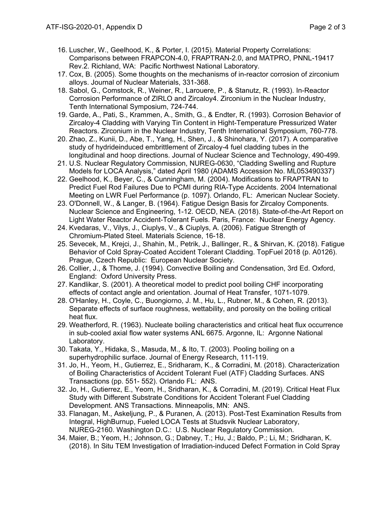- 16. Luscher, W., Geelhood, K., & Porter, I. (2015). Material Property Correlations: Comparisons between FRAPCON-4.0, FRAPTRAN-2.0, and MATPRO, PNNL-19417 Rev.2. Richland, WA: Pacific Northwest National Laboratory.
- 17. Cox, B. (2005). Some thoughts on the mechanisms of in-reactor corrosion of zirconium alloys. Journal of Nuclear Materials, 331-368.
- 18. Sabol, G., Comstock, R., Weiner, R., Larouere, P., & Stanutz, R. (1993). In-Reactor Corrosion Performance of ZIRLO and Zircaloy4. Zirconium in the Nuclear Industry, Tenth International Symposium, 724-744.
- 19. Garde, A., Pati, S., Krammen, A., Smith, G., & Endter, R. (1993). Corrosion Behavior of Zircaloy-4 Cladding with Varying Tin Content in Hight-Temperature Pressurized Water Reactors. Zirconium in the Nuclear Industry, Tenth International Symposium, 760-778.
- 20. Zhao, Z., Kunii, D., Abe, T., Yang, H., Shen, J., & Shinohara, Y. (2017). A comparative study of hydrideinduced embrittlement of Zircaloy-4 fuel cladding tubes in the longitudinal and hoop directions. Journal of Nuclear Science and Technology, 490-499.
- 21. U.S. Nuclear Regulatory Commission, NUREG-0630, "Cladding Swelling and Rupture Models for LOCA Analysis," dated April 1980 (ADAMS Accession No. ML053490337)
- 22. Geelhood, K., Beyer, C., & Cunningham, M. (2004). Modifications to FRAPTRAN to Predict Fuel Rod Failures Due to PCMI during RIA-Type Accidents. 2004 International Meeting on LWR Fuel Performance (p. 1097). Orlando, FL: American Nuclear Society.
- 23. O'Donnell, W., & Langer, B. (1964). Fatigue Design Basis for Zircaloy Components. Nuclear Science and Engineering, 1-12. OECD, NEA. (2018). State-of-the-Art Report on Light Water Reactor Accident-Tolerant Fuels. Paris, France: Nuclear Energy Agency.
- 24. Kvedaras, V., Vilys, J., Ciuplys, V., & Ciuplys, A. (2006). Fatigue Strength of Chromium-Plated Steel. Materials Science, 16-18.
- 25. Sevecek, M., Krejci, J., Shahin, M., Petrik, J., Ballinger, R., & Shirvan, K. (2018). Fatigue Behavior of Cold Spray-Coated Accident Tolerant Cladding. TopFuel 2018 (p. A0126). Prague, Czech Republic: European Nuclear Society.
- 26. Collier, J., & Thome, J. (1994). Convective Boiling and Condensation, 3rd Ed. Oxford, England: Oxford University Press.
- 27. Kandlikar, S. (2001). A theoretical model to predict pool boiling CHF incorporating effects of contact angle and orientation. Journal of Heat Transfer, 1071-1079.
- 28. O'Hanley, H., Coyle, C., Buongiorno, J. M., Hu, L., Rubner, M., & Cohen, R. (2013). Separate effects of surface roughness, wettability, and porosity on the boiling critical heat flux.
- 29. Weatherford, R. (1963). Nucleate boiling characteristics and critical heat flux occurrence in sub-cooled axial flow water systems ANL 6675. Argonne, IL: Argonne National Laboratory.
- 30. Takata, Y., Hidaka, S., Masuda, M., & Ito, T. (2003). Pooling boiling on a superhydrophilic surface. Journal of Energy Research, 111-119.
- 31. Jo, H., Yeom, H., Gutierrez, E., Sridharam, K., & Corradini, M. (2018). Characterization of Boiling Characteristics of Accident Tolerant Fuel (ATF) Cladding Surfaces. ANS Transactions (pp. 551- 552). Orlando FL: ANS.
- 32. Jo, H., Gutierrez, E., Yeom, H., Sridharan, K., & Corradini, M. (2019). Critical Heat Flux Study with Different Substrate Conditions for Accident Tolerant Fuel Cladding Development. ANS Transactions. Minneapolis, MN: ANS.
- 33. Flanagan, M., Askeljung, P., & Puranen, A. (2013). Post-Test Examination Results from Integral, HighBurnup, Fueled LOCA Tests at Studsvik Nuclear Laboratory, NUREG-2160. Washington D.C.: U.S. Nuclear Regulatory Commission.
- 34. Maier, B.; Yeom, H.; Johnson, G.; Dabney, T.; Hu, J.; Baldo, P.; Li, M.; Sridharan, K. (2018). In Situ TEM Investigation of Irradiation-induced Defect Formation in Cold Spray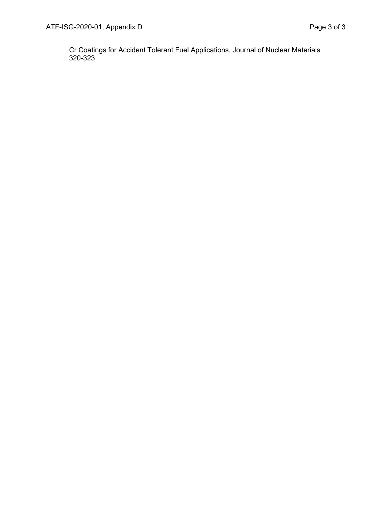Cr Coatings for Accident Tolerant Fuel Applications, Journal of Nuclear Materials 320-323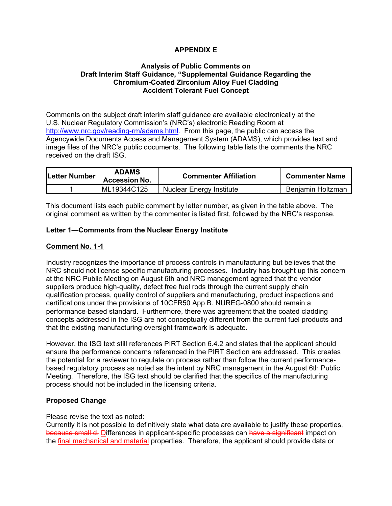# **APPENDIX E**

#### **Analysis of Public Comments on Draft Interim Staff Guidance, "Supplemental Guidance Regarding the Chromium-Coated Zirconium Alloy Fuel Cladding Accident Tolerant Fuel Concept**

Comments on the subject draft interim staff guidance are available electronically at the U.S. Nuclear Regulatory Commission's (NRC's) electronic Reading Room at http://www.nrc.gov/reading-rm/adams.html. From this page, the public can access the Agencywide Documents Access and Management System (ADAMS), which provides text and image files of the NRC's public documents. The following table lists the comments the NRC received on the draft ISG.

| Letter Number | <b>ADAMS</b><br><b>Accession No.</b> | <b>Commenter Affiliation</b> | <b>Commenter Name</b> |
|---------------|--------------------------------------|------------------------------|-----------------------|
|               | ML19344C125                          | Nuclear Energy Institute     | Beniamin Holtzman     |

This document lists each public comment by letter number, as given in the table above. The original comment as written by the commenter is listed first, followed by the NRC's response.

#### **Letter 1—Comments from the Nuclear Energy Institute**

#### **Comment No. 1-1**

Industry recognizes the importance of process controls in manufacturing but believes that the NRC should not license specific manufacturing processes. Industry has brought up this concern at the NRC Public Meeting on August 6th and NRC management agreed that the vendor suppliers produce high-quality, defect free fuel rods through the current supply chain qualification process, quality control of suppliers and manufacturing, product inspections and certifications under the provisions of 10CFR50 App B. NUREG‐0800 should remain a performance‐based standard. Furthermore, there was agreement that the coated cladding concepts addressed in the ISG are not conceptually different from the current fuel products and that the existing manufacturing oversight framework is adequate.

However, the ISG text still references PIRT Section 6.4.2 and states that the applicant should ensure the performance concerns referenced in the PIRT Section are addressed. This creates the potential for a reviewer to regulate on process rather than follow the current performance‐ based regulatory process as noted as the intent by NRC management in the August 6th Public Meeting. Therefore, the ISG text should be clarified that the specifics of the manufacturing process should not be included in the licensing criteria.

# **Proposed Change**

Please revise the text as noted:

Currently it is not possible to definitively state what data are available to justify these properties, because small d. Differences in applicant-specific processes can have a significant impact on the final mechanical and material properties. Therefore, the applicant should provide data or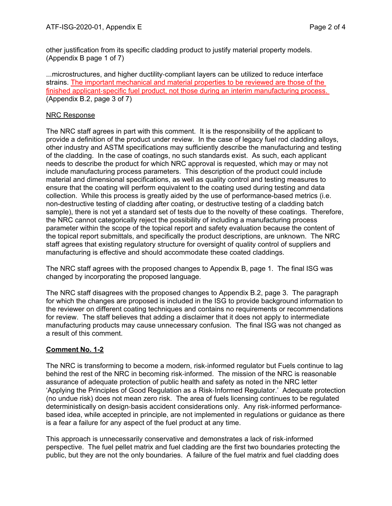other justification from its specific cladding product to justify material property models. (Appendix B page 1 of 7)

...microstructures, and higher ductility‐compliant layers can be utilized to reduce interface strains. The important mechanical and material properties to be reviewed are those of the finished applicant‐specific fuel product, not those during an interim manufacturing process. (Appendix B.2, page 3 of 7)

# NRC Response

The NRC staff agrees in part with this comment. It is the responsibility of the applicant to provide a definition of the product under review. In the case of legacy fuel rod cladding alloys, other industry and ASTM specifications may sufficiently describe the manufacturing and testing of the cladding. In the case of coatings, no such standards exist. As such, each applicant needs to describe the product for which NRC approval is requested, which may or may not include manufacturing process parameters. This description of the product could include material and dimensional specifications, as well as quality control and testing measures to ensure that the coating will perform equivalent to the coating used during testing and data collection. While this process is greatly aided by the use of performance-based metrics (i.e. non-destructive testing of cladding after coating, or destructive testing of a cladding batch sample), there is not yet a standard set of tests due to the novelty of these coatings. Therefore, the NRC cannot categorically reject the possibility of including a manufacturing process parameter within the scope of the topical report and safety evaluation because the content of the topical report submittals, and specifically the product descriptions, are unknown. The NRC staff agrees that existing regulatory structure for oversight of quality control of suppliers and manufacturing is effective and should accommodate these coated claddings.

The NRC staff agrees with the proposed changes to Appendix B, page 1. The final ISG was changed by incorporating the proposed language.

The NRC staff disagrees with the proposed changes to Appendix B.2, page 3. The paragraph for which the changes are proposed is included in the ISG to provide background information to the reviewer on different coating techniques and contains no requirements or recommendations for review. The staff believes that adding a disclaimer that it does not apply to intermediate manufacturing products may cause unnecessary confusion. The final ISG was not changed as a result of this comment.

# **Comment No. 1-2**

The NRC is transforming to become a modern, risk-informed regulator but Fuels continue to lag behind the rest of the NRC in becoming risk‐informed. The mission of the NRC is reasonable assurance of adequate protection of public health and safety as noted in the NRC letter 'Applying the Principles of Good Regulation as a Risk‐Informed Regulator.' Adequate protection (no undue risk) does not mean zero risk. The area of fuels licensing continues to be regulated deterministically on design‐basis accident considerations only. Any risk‐informed performance‐ based idea, while accepted in principle, are not implemented in regulations or guidance as there is a fear a failure for any aspect of the fuel product at any time.

This approach is unnecessarily conservative and demonstrates a lack of risk‐informed perspective. The fuel pellet matrix and fuel cladding are the first two boundaries protecting the public, but they are not the only boundaries. A failure of the fuel matrix and fuel cladding does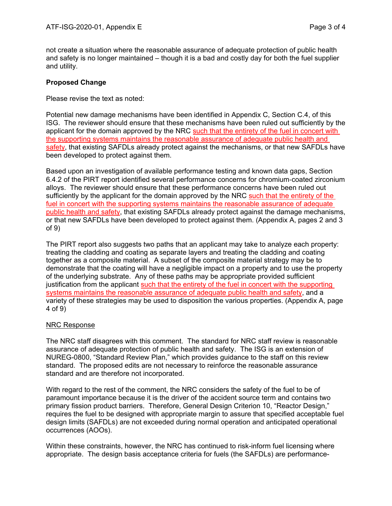not create a situation where the reasonable assurance of adequate protection of public health and safety is no longer maintained – though it is a bad and costly day for both the fuel supplier and utility.

## **Proposed Change**

Please revise the text as noted:

Potential new damage mechanisms have been identified in Appendix C, Section C.4, of this ISG. The reviewer should ensure that these mechanisms have been ruled out sufficiently by the applicant for the domain approved by the NRC such that the entirety of the fuel in concert with the supporting systems maintains the reasonable assurance of adequate public health and safety, that existing SAFDLs already protect against the mechanisms, or that new SAFDLs have been developed to protect against them.

Based upon an investigation of available performance testing and known data gaps, Section 6.4.2 of the PIRT report identified several performance concerns for chromium‐coated zirconium alloys. The reviewer should ensure that these performance concerns have been ruled out sufficiently by the applicant for the domain approved by the NRC such that the entirety of the fuel in concert with the supporting systems maintains the reasonable assurance of adequate public health and safety, that existing SAFDLs already protect against the damage mechanisms, or that new SAFDLs have been developed to protect against them. (Appendix A, pages 2 and 3 of 9)

The PIRT report also suggests two paths that an applicant may take to analyze each property: treating the cladding and coating as separate layers and treating the cladding and coating together as a composite material. A subset of the composite material strategy may be to demonstrate that the coating will have a negligible impact on a property and to use the property of the underlying substrate. Any of these paths may be appropriate provided sufficient justification from the applicant such that the entirety of the fuel in concert with the supporting systems maintains the reasonable assurance of adequate public health and safety, and a variety of these strategies may be used to disposition the various properties. (Appendix A, page 4 of 9)

# NRC Response

The NRC staff disagrees with this comment. The standard for NRC staff review is reasonable assurance of adequate protection of public health and safety. The ISG is an extension of NUREG-0800, "Standard Review Plan," which provides guidance to the staff on this review standard. The proposed edits are not necessary to reinforce the reasonable assurance standard and are therefore not incorporated.

With regard to the rest of the comment, the NRC considers the safety of the fuel to be of paramount importance because it is the driver of the accident source term and contains two primary fission product barriers. Therefore, General Design Criterion 10, "Reactor Design," requires the fuel to be designed with appropriate margin to assure that specified acceptable fuel design limits (SAFDLs) are not exceeded during normal operation and anticipated operational occurrences (AOOs).

Within these constraints, however, the NRC has continued to risk-inform fuel licensing where appropriate. The design basis acceptance criteria for fuels (the SAFDLs) are performance